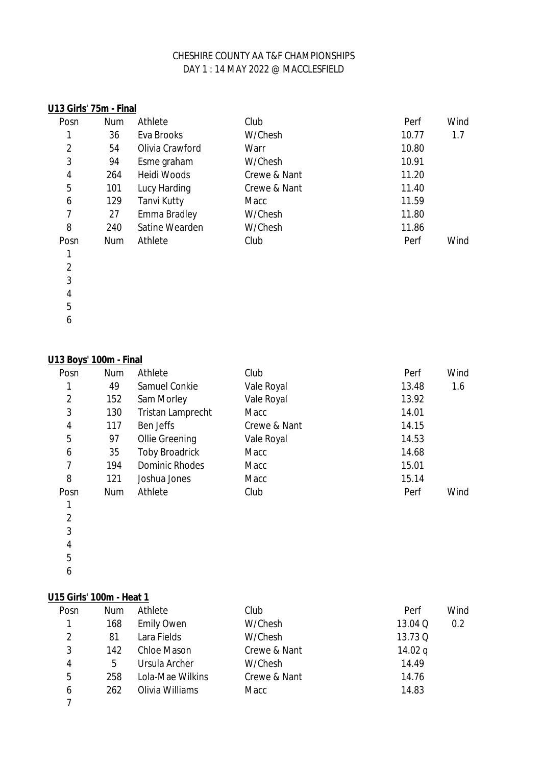| U13 Girls' 75m - Final |            |                     |              |       |      |
|------------------------|------------|---------------------|--------------|-------|------|
| Posn                   | <b>Num</b> | Athlete             | Club         | Perf  | Wind |
|                        | 36         | Eva Brooks          | W/Chesh      | 10.77 | 1.7  |
| 2                      | 54         | Olivia Crawford     | Warr         | 10.80 |      |
| 3                      | 94         | Esme graham         | W/Chesh      | 10.91 |      |
| 4                      | 264        | <b>Heidi Woods</b>  | Crewe & Nant | 11.20 |      |
| 5                      | 101        | Lucy Harding        | Crewe & Nant | 11.40 |      |
| 6                      | 129        | <b>Tanvi Kutty</b>  | Macc         | 11.59 |      |
| 7                      | 27         | <b>Emma Bradley</b> | W/Chesh      | 11.80 |      |
| 8                      | 240        | Satine Wearden      | W/Chesh      | 11.86 |      |
| Posn                   | <b>Num</b> | Athlete             | Club         | Perf  | Wind |
|                        |            |                     |              |       |      |
| $\overline{2}$         |            |                     |              |       |      |
| 3                      |            |                     |              |       |      |

 

# **U13 Boys' 100m - Final**

| Posn           | <b>Num</b> | Athlete                  | Club         | Perf  | Wind |
|----------------|------------|--------------------------|--------------|-------|------|
| 1              | 49         | <b>Samuel Conkie</b>     | Vale Royal   | 13.48 | 1.6  |
| 2              | 152        | Sam Morley               | Vale Royal   | 13.92 |      |
| 3              | 130        | <b>Tristan Lamprecht</b> | Macc         | 14.01 |      |
| 4              | 117        | Ben Jeffs                | Crewe & Nant | 14.15 |      |
| 5              | 97         | <b>Ollie Greening</b>    | Vale Royal   | 14.53 |      |
| 6              | 35         | <b>Toby Broadrick</b>    | Macc         | 14.68 |      |
| $\overline{7}$ | 194        | <b>Dominic Rhodes</b>    | Macc         | 15.01 |      |
| 8              | 121        | Joshua Jones             | Macc         | 15.14 |      |
| Posn           | <b>Num</b> | Athlete                  | Club         | Perf  | Wind |
| 1              |            |                          |              |       |      |

| 1 |  |
|---|--|
| 2 |  |
| 3 |  |
| 4 |  |
|   |  |

 

# **U15 Girls' 100m - Heat 1**

| Posn | <b>Num</b> | Athlete            | Club         | Perf      | Wind |
|------|------------|--------------------|--------------|-----------|------|
| 1    | 168        | <b>Emily Owen</b>  | W/Chesh      | 13.04 Q   | 0.2  |
| 2    | 81         | Lara Fields        | W/Chesh      | 13.73 Q   |      |
| 3    | 142        | <b>Chloe Mason</b> | Crewe & Nant | 14.02 $q$ |      |
| 4    | 5          | Ursula Archer      | W/Chesh      | 14.49     |      |
| 5    | 258        | Lola-Mae Wilkins   | Crewe & Nant | 14.76     |      |
| 6    | 262        | Olivia Williams    | Macc         | 14.83     |      |
|      |            |                    |              |           |      |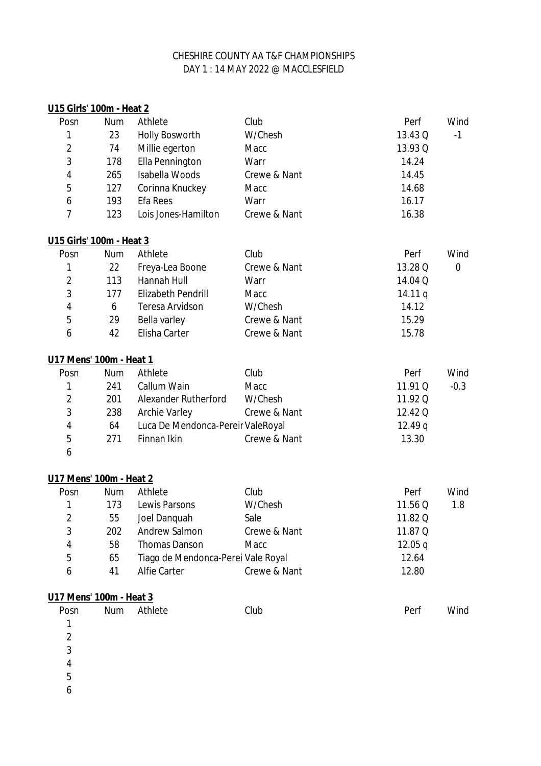| U15 Girls' 100m - Heat 2 |            |                                    |              |         |          |
|--------------------------|------------|------------------------------------|--------------|---------|----------|
| Posn                     | Num        | Athlete                            | Club         | Perf    | Wind     |
| 1                        | 23         | <b>Holly Bosworth</b>              | W/Chesh      | 13.43 Q | $-1$     |
| $\overline{2}$           | 74         | Millie egerton                     | Macc         | 13.93 Q |          |
| 3                        | 178        | <b>Ella Pennington</b>             | Warr         | 14.24   |          |
| 4                        | 265        | <b>Isabella Woods</b>              | Crewe & Nant | 14.45   |          |
| 5                        | 127        | Corinna Knuckey                    | Macc         | 14.68   |          |
| 6                        | 193        | <b>Efa Rees</b>                    | Warr         | 16.17   |          |
| 7                        | 123        | Lois Jones-Hamilton                | Crewe & Nant | 16.38   |          |
| U15 Girls' 100m - Heat 3 |            |                                    |              |         |          |
| Posn                     | <b>Num</b> | Athlete                            | Club         | Perf    | Wind     |
| 1                        | 22         | Freya-Lea Boone                    | Crewe & Nant | 13.28 Q | $\bf{0}$ |
| $\overline{2}$           | 113        | Hannah Hull                        | Warr         | 14.04 Q |          |
| 3                        | 177        | <b>Elizabeth Pendrill</b>          | Macc         | 14.11q  |          |
| 4                        | 6          | <b>Teresa Arvidson</b>             | W/Chesh      | 14.12   |          |
| 5                        | 29         | Bella varley                       | Crewe & Nant | 15.29   |          |
| 6                        | 42         | Elisha Carter                      | Crewe & Nant | 15.78   |          |
| U17 Mens' 100m - Heat 1  |            |                                    |              |         |          |
| Posn                     | <b>Num</b> | Athlete                            | Club         | Perf    | Wind     |
| 1                        | 241        | Callum Wain                        | Macc         | 11.91 Q | $-0.3$   |
| $\overline{2}$           | 201        | <b>Alexander Rutherford</b>        | W/Chesh      | 11.92 Q |          |
| 3                        | 238        | <b>Archie Varley</b>               | Crewe & Nant | 12.42 Q |          |
| 4                        | 64         | Luca De Mendonca-Pereir ValeRoyal  |              | 12.49q  |          |
| 5                        | 271        | Finnan Ikin                        | Crewe & Nant | 13.30   |          |
| 6                        |            |                                    |              |         |          |
| U17 Mens' 100m - Heat 2  |            |                                    |              |         |          |
| Posn                     | <b>Num</b> | Athlete                            | Club         | Perf    | Wind     |
| 1                        | 173        | Lewis Parsons                      | W/Chesh      | 11.56 Q | 1.8      |
| 2                        | 55         | Joel Danquah                       | Sale         | 11.82 Q |          |
| 3                        | 202        | <b>Andrew Salmon</b>               | Crewe & Nant | 11.87 Q |          |
| 4                        | 58         | <b>Thomas Danson</b>               | Macc         | 12.05q  |          |
| 5                        | 65         | Tiago de Mendonca-Perei Vale Royal |              | 12.64   |          |
| 6                        | 41         | <b>Alfie Carter</b>                | Crewe & Nant | 12.80   |          |
| U17 Mens' 100m - Heat 3  |            |                                    |              |         |          |
| Posn                     | Num        | Athlete                            | Club         | Perf    | Wind     |
| 1                        |            |                                    |              |         |          |
| $\overline{2}$           |            |                                    |              |         |          |
| 3                        |            |                                    |              |         |          |

- 
- 
-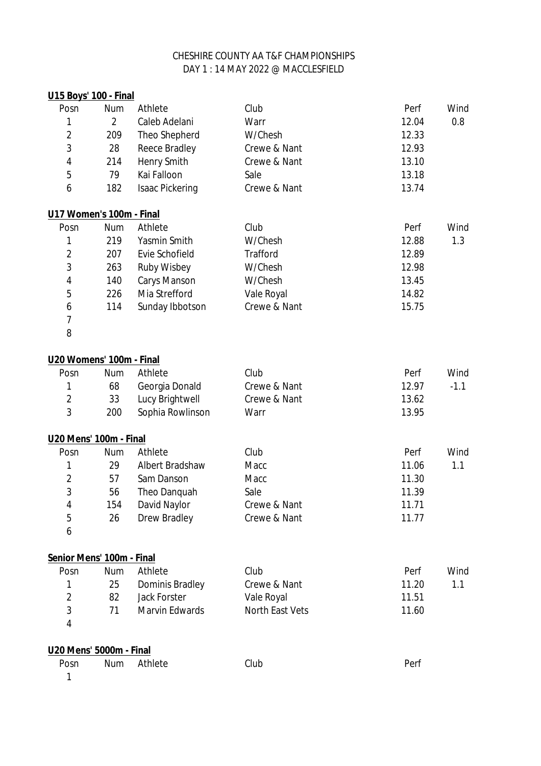# DAY 1 : 14 MAY 2022 @ MACCLESFIELD CHESHIRE COUNTY AA T&F CHAMPIONSHIPS

| U15 Boys' 100 - Final     |                |                        |                        |       |        |
|---------------------------|----------------|------------------------|------------------------|-------|--------|
| Posn                      | <b>Num</b>     | Athlete                | Club                   | Perf  | Wind   |
| 1                         | $\overline{2}$ | Caleb Adelani          | Warr                   | 12.04 | 0.8    |
| $\overline{2}$            | 209            | Theo Shepherd          | W/Chesh                | 12.33 |        |
| 3                         | 28             | <b>Reece Bradley</b>   | Crewe & Nant           | 12.93 |        |
| 4                         | 214            | <b>Henry Smith</b>     | Crewe & Nant           | 13.10 |        |
| 5                         | 79             | Kai Falloon            | Sale                   | 13.18 |        |
| 6                         | 182            | <b>Isaac Pickering</b> | Crewe & Nant           | 13.74 |        |
| U17 Women's 100m - Final  |                |                        |                        |       |        |
| Posn                      | <b>Num</b>     | Athlete                | Club                   | Perf  | Wind   |
| 1                         | 219            | Yasmin Smith           | W/Chesh                | 12.88 | 1.3    |
| $\overline{2}$            | 207            | <b>Evie Schofield</b>  | <b>Trafford</b>        | 12.89 |        |
| 3                         | 263            | <b>Ruby Wisbey</b>     | W/Chesh                | 12.98 |        |
| 4                         | 140            | <b>Carys Manson</b>    | W/Chesh                | 13.45 |        |
| 5                         | 226            | Mia Strefford          | Vale Royal             | 14.82 |        |
| 6                         | 114            | Sunday Ibbotson        | Crewe & Nant           | 15.75 |        |
| 7                         |                |                        |                        |       |        |
| 8                         |                |                        |                        |       |        |
| U20 Womens' 100m - Final  |                |                        |                        |       |        |
| Posn                      | <b>Num</b>     | Athlete                | Club                   | Perf  | Wind   |
| 1                         | 68             | Georgia Donald         | Crewe & Nant           | 12.97 | $-1.1$ |
| $\overline{2}$            | 33             | Lucy Brightwell        | Crewe & Nant           | 13.62 |        |
| 3                         | 200            | Sophia Rowlinson       | Warr                   | 13.95 |        |
| U20 Mens' 100m - Final    |                |                        |                        |       |        |
| Posn                      | <b>Num</b>     | Athlete                | Club                   | Perf  | Wind   |
| 1                         | 29             | <b>Albert Bradshaw</b> | Macc                   | 11.06 | 1.1    |
| $\overline{2}$            | 57             | Sam Danson             | Macc                   | 11.30 |        |
| 3                         | 56             | Theo Danquah           | Sale                   | 11.39 |        |
| 4                         | 154            | David Naylor           | Crewe & Nant           | 11.71 |        |
| 5                         | 26             | <b>Drew Bradley</b>    | Crewe & Nant           | 11.77 |        |
| 6                         |                |                        |                        |       |        |
| Senior Mens' 100m - Final |                |                        |                        |       |        |
| Posn                      | <b>Num</b>     | Athlete                | Club                   | Perf  | Wind   |
| 1                         | 25             | <b>Dominis Bradley</b> | Crewe & Nant           | 11.20 | 1.1    |
| $\overline{\mathbf{c}}$   | 82             | <b>Jack Forster</b>    | Vale Royal             | 11.51 |        |
| 3                         | 71             | <b>Marvin Edwards</b>  | <b>North East Vets</b> | 11.60 |        |
| 4                         |                |                        |                        |       |        |
| U20 Mens' 5000m - Final   |                |                        |                        |       |        |
| Posn                      | <b>Num</b>     | Athlete                | Club                   | Perf  |        |
| 1                         |                |                        |                        |       |        |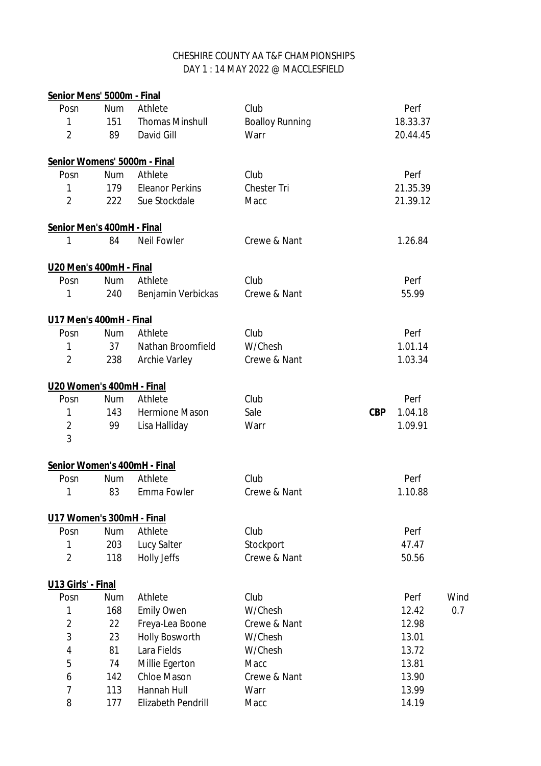### DAY 1 : 14 MAY 2022 @ MACCLESFIELD CHESHIRE COUNTY AA T&F CHAMPIONSHIPS

| Senior Mens' 5000m - Final |            |                              |                        |                       |      |
|----------------------------|------------|------------------------------|------------------------|-----------------------|------|
| Posn                       | Num        | Athlete                      | Club                   | Perf                  |      |
| 1                          | 151        | <b>Thomas Minshull</b>       | <b>Boalloy Running</b> | 18.33.37              |      |
| $\overline{2}$             | 89         | David Gill                   | Warr                   | 20.44.45              |      |
|                            |            | Senior Womens' 5000m - Final |                        |                       |      |
| Posn                       | <b>Num</b> | Athlete                      | Club                   | Perf                  |      |
| 1                          | 179        | <b>Eleanor Perkins</b>       | <b>Chester Tri</b>     | 21.35.39              |      |
| $\overline{2}$             | 222        | Sue Stockdale                | Macc                   | 21.39.12              |      |
| Senior Men's 400mH - Final |            |                              |                        |                       |      |
| 1                          | 84         | <b>Neil Fowler</b>           | Crewe & Nant           | 1.26.84               |      |
| U20 Men's 400mH - Final    |            |                              |                        |                       |      |
| Posn                       | <b>Num</b> | Athlete                      | Club                   | Perf                  |      |
| 1                          | 240        | Benjamin Verbickas           | Crewe & Nant           | 55.99                 |      |
| U17 Men's 400mH - Final    |            |                              |                        |                       |      |
| Posn                       | <b>Num</b> | Athlete                      | Club                   | Perf                  |      |
| 1                          | 37         | Nathan Broomfield            | W/Chesh                | 1.01.14               |      |
| $\overline{2}$             | 238        | <b>Archie Varley</b>         | Crewe & Nant           | 1.03.34               |      |
| U20 Women's 400mH - Final  |            |                              |                        |                       |      |
| Posn                       | <b>Num</b> | Athlete                      | Club                   | Perf                  |      |
| 1                          | 143        | <b>Hermione Mason</b>        | Sale                   | <b>CBP</b><br>1.04.18 |      |
| $\overline{2}$             | 99         | Lisa Halliday                | Warr                   | 1.09.91               |      |
| 3                          |            |                              |                        |                       |      |
|                            |            | Senior Women's 400mH - Final |                        |                       |      |
| Posn                       | <b>Num</b> | Athlete                      | Club                   | Perf                  |      |
| 1                          | 83         | Emma Fowler                  | Crewe & Nant           | 1.10.88               |      |
| U17 Women's 300mH - Final  |            |                              |                        |                       |      |
| Posn                       | <b>Num</b> | Athlete                      | Club                   | Perf                  |      |
| 1                          | 203        | <b>Lucy Salter</b>           | Stockport              | 47.47                 |      |
| $\overline{2}$             | 118        | <b>Holly Jeffs</b>           | Crewe & Nant           | 50.56                 |      |
| U13 Girls' - Final         |            |                              |                        |                       |      |
| Posn                       | <b>Num</b> | Athlete                      | Club                   | Perf                  | Wind |
| 1                          | 168        | <b>Emily Owen</b>            | W/Chesh                | 12.42                 | 0.7  |
| $\overline{\mathbf{c}}$    | 22         | Freya-Lea Boone              | Crewe & Nant           | 12.98                 |      |
| 3                          | 23         | <b>Holly Bosworth</b>        | W/Chesh                | 13.01                 |      |
| 4                          | 81         | Lara Fields                  | W/Chesh                | 13.72                 |      |
| 5                          | 74         | Millie Egerton               | Macc                   | 13.81                 |      |
| 6                          | 142        | <b>Chloe Mason</b>           | Crewe & Nant           | 13.90                 |      |
| $\overline{7}$             | 113        | Hannah Hull                  | Warr                   | 13.99                 |      |
| 8                          | 177        | <b>Elizabeth Pendrill</b>    | Macc                   | 14.19                 |      |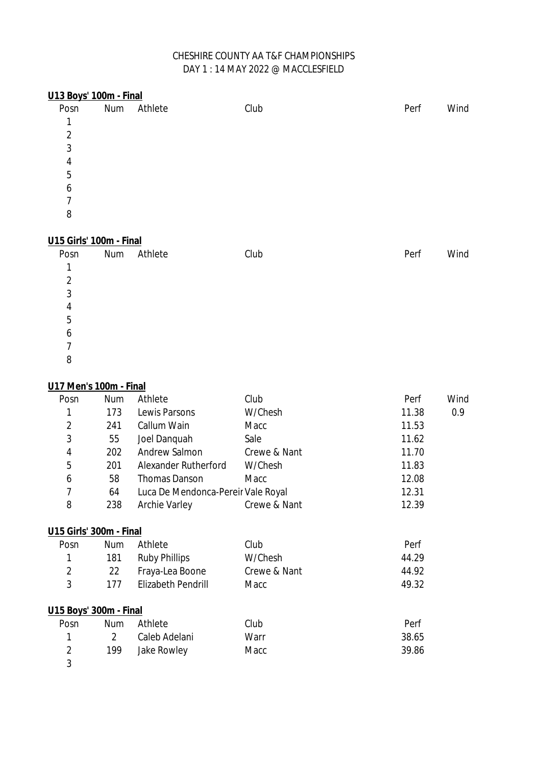| U13 Boys' 100m - Final  |     |         |      |      |      |
|-------------------------|-----|---------|------|------|------|
| Posn                    | Num | Athlete | Club | Perf | Wind |
| 1                       |     |         |      |      |      |
| $\overline{2}$          |     |         |      |      |      |
| 3                       |     |         |      |      |      |
| 4                       |     |         |      |      |      |
| 5                       |     |         |      |      |      |
| 6                       |     |         |      |      |      |
| 7                       |     |         |      |      |      |
| 8                       |     |         |      |      |      |
|                         |     |         |      |      |      |
| U15 Girls' 100m - Final |     |         |      |      |      |
| Posn                    | Num | Athlete | Club | Perf | Wind |
| 1                       |     |         |      |      |      |
| $\overline{2}$          |     |         |      |      |      |
| 3                       |     |         |      |      |      |
| 4                       |     |         |      |      |      |
| 5                       |     |         |      |      |      |

#### 

# **U17 Men's 100m - Final**

| Posn                    | Num            | Athlete                            | Club         | Perf  | Wind |
|-------------------------|----------------|------------------------------------|--------------|-------|------|
| 1                       | 173            | Lewis Parsons                      | W/Chesh      | 11.38 | 0.9  |
| $\overline{2}$          | 241            | Callum Wain                        | Macc         | 11.53 |      |
| 3                       | 55             | Joel Danquah                       | Sale         | 11.62 |      |
| 4                       | 202            | <b>Andrew Salmon</b>               | Crewe & Nant | 11.70 |      |
| 5                       | 201            | <b>Alexander Rutherford</b>        | W/Chesh      | 11.83 |      |
| 6                       | 58             | <b>Thomas Danson</b>               | Macc         | 12.08 |      |
| $\overline{7}$          | 64             | Luca De Mendonca-Pereir Vale Royal |              | 12.31 |      |
| 8                       | 238            | <b>Archie Varley</b>               | Crewe & Nant | 12.39 |      |
| U15 Girls' 300m - Final |                |                                    |              |       |      |
| Posn                    | <b>Num</b>     | Athlete                            | Club         | Perf  |      |
| 1                       | 181            | <b>Ruby Phillips</b>               | W/Chesh      | 44.29 |      |
| $\overline{2}$          | 22             | Fraya-Lea Boone                    | Crewe & Nant | 44.92 |      |
| 3                       | 177            | <b>Elizabeth Pendrill</b>          | Macc         | 49.32 |      |
| U15 Boys' 300m - Final  |                |                                    |              |       |      |
| Posn                    | <b>Num</b>     | Athlete                            | Club         | Perf  |      |
| 1                       | $\overline{2}$ | Caleb Adelani                      | Warr         | 38.65 |      |
| $\overline{2}$          | 199            | <b>Jake Rowley</b>                 | Macc         | 39.86 |      |
| 3                       |                |                                    |              |       |      |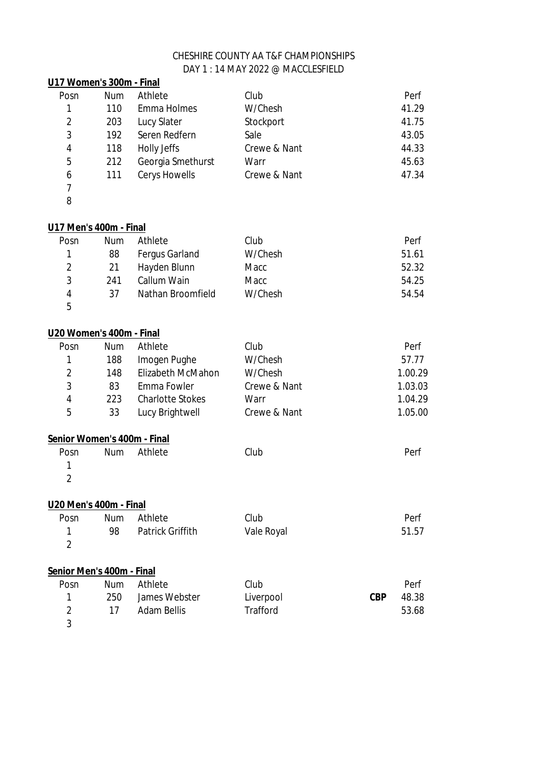| U17 Women's 300m - Final    |            |                          |                 |            |         |
|-----------------------------|------------|--------------------------|-----------------|------------|---------|
| Posn                        | <b>Num</b> | Athlete                  | Club            |            | Perf    |
| 1                           | 110        | <b>Emma Holmes</b>       | W/Chesh         |            | 41.29   |
| $\overline{2}$              | 203        | <b>Lucy Slater</b>       | Stockport       |            | 41.75   |
| 3                           | 192        | Seren Redfern            | Sale            |            | 43.05   |
| 4                           | 118        | <b>Holly Jeffs</b>       | Crewe & Nant    |            | 44.33   |
| 5                           | 212        | Georgia Smethurst        | Warr            |            | 45.63   |
| 6                           | 111        | <b>Cerys Howells</b>     | Crewe & Nant    |            | 47.34   |
| $\overline{7}$              |            |                          |                 |            |         |
| 8                           |            |                          |                 |            |         |
| U17 Men's 400m - Final      |            |                          |                 |            |         |
| Posn                        | <b>Num</b> | Athlete                  | Club            |            | Perf    |
| 1                           | 88         | <b>Fergus Garland</b>    | W/Chesh         |            | 51.61   |
| $\overline{2}$              | 21         | Hayden Blunn             | Macc            |            | 52.32   |
| 3                           | 241        | Callum Wain              | Macc            |            | 54.25   |
| $\overline{\mathbf{4}}$     | 37         | <b>Nathan Broomfield</b> | W/Chesh         |            | 54.54   |
| 5                           |            |                          |                 |            |         |
| U20 Women's 400m - Final    |            |                          |                 |            |         |
| Posn                        | <b>Num</b> | Athlete                  | Club            |            | Perf    |
| 1                           | 188        | Imogen Pughe             | W/Chesh         |            | 57.77   |
| $\overline{2}$              | 148        | <b>Elizabeth McMahon</b> | W/Chesh         |            | 1.00.29 |
| 3                           | 83         | <b>Emma Fowler</b>       | Crewe & Nant    |            | 1.03.03 |
| 4                           | 223        | <b>Charlotte Stokes</b>  | Warr            |            | 1.04.29 |
| 5                           | 33         | Lucy Brightwell          | Crewe & Nant    |            | 1.05.00 |
| Senior Women's 400m - Final |            |                          |                 |            |         |
| Posn                        | <b>Num</b> | Athlete                  | Club            |            | Perf    |
| 1                           |            |                          |                 |            |         |
| $\overline{2}$              |            |                          |                 |            |         |
| U20 Men's 400m - Final      |            |                          |                 |            |         |
| Posn                        | <b>Num</b> | Athlete                  | Club            |            | Perf    |
| 1                           | 98         | <b>Patrick Griffith</b>  | Vale Royal      |            | 51.57   |
| $\overline{2}$              |            |                          |                 |            |         |
| Senior Men's 400m - Final   |            |                          |                 |            |         |
| Posn                        | <b>Num</b> | Athlete                  | Club            |            | Perf    |
| 1                           | 250        | James Webster            | Liverpool       | <b>CBP</b> | 48.38   |
| $\overline{2}$              | 17         | <b>Adam Bellis</b>       | <b>Trafford</b> |            | 53.68   |
| 3                           |            |                          |                 |            |         |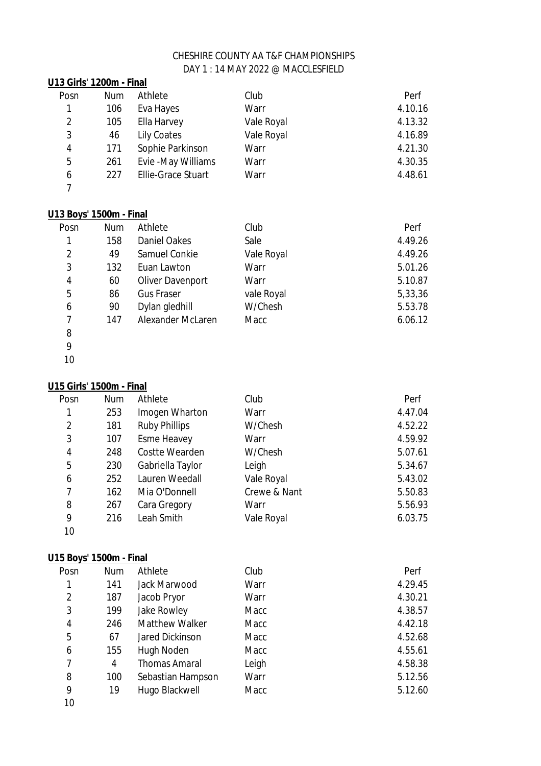### Posn Num Athlete Club Perf 106 Eva Hayes Warr 4.10.16 2 105 Ella Harvey Vale Royal 12 4.13.32 3 46 Lily Coates Vale Royal 4.16.89 171 Sophie Parkinson Warr 4.21.30 261 Evie -May Williams Warr 4.30.35 227 Ellie-Grace Stuart Warr 4.48.61 **U13 Girls' 1200m - Final**

#### **U13 Boys' 1500m - Final**

| Posn | <b>Num</b> | Athlete                  | Club       | Perf    |
|------|------------|--------------------------|------------|---------|
| 1    | 158        | <b>Daniel Oakes</b>      | Sale       | 4.49.26 |
| 2    | 49         | <b>Samuel Conkie</b>     | Vale Royal | 4.49.26 |
| 3    | 132        | Euan Lawton              | Warr       | 5.01.26 |
| 4    | 60         | <b>Oliver Davenport</b>  | Warr       | 5.10.87 |
| 5    | 86         | <b>Gus Fraser</b>        | vale Royal | 5,33,36 |
| 6    | 90         | Dylan gledhill           | W/Chesh    | 5.53.78 |
| 7    | 147        | <b>Alexander McLaren</b> | Macc       | 6.06.12 |
| 8    |            |                          |            |         |

 

### **U15 Girls' 1500m - Final**

| Posn | <b>Num</b> | Athlete               | Club         | Perf    |
|------|------------|-----------------------|--------------|---------|
| 1    | 253        | Imogen Wharton        | Warr         | 4.47.04 |
| 2    | 181        | <b>Ruby Phillips</b>  | W/Chesh      | 4.52.22 |
| 3    | 107        | <b>Esme Heavey</b>    | Warr         | 4.59.92 |
| 4    | 248        | <b>Costte Wearden</b> | W/Chesh      | 5.07.61 |
| 5    | 230        | Gabriella Taylor      | Leigh        | 5.34.67 |
| 6    | 252        | Lauren Weedall        | Vale Royal   | 5.43.02 |
| 7    | 162        | Mia O'Donnell         | Crewe & Nant | 5.50.83 |
| 8    | 267        | Cara Gregory          | Warr         | 5.56.93 |
| 9    | 216        | Leah Smith            | Vale Royal   | 6.03.75 |
| 10   |            |                       |              |         |

#### **U15 Boys' 1500m - Final**

| Posn           | <b>Num</b> | Athlete                | Club  | Perf    |
|----------------|------------|------------------------|-------|---------|
|                | 141        | Jack Marwood           | Warr  | 4.29.45 |
| $\overline{2}$ | 187        | Jacob Pryor            | Warr  | 4.30.21 |
| 3              | 199        | Jake Rowley            | Macc  | 4.38.57 |
| 4              | 246        | <b>Matthew Walker</b>  | Macc  | 4.42.18 |
| 5              | 67         | <b>Jared Dickinson</b> | Macc  | 4.52.68 |
| 6              | 155        | Hugh Noden             | Macc  | 4.55.61 |
| 7              | 4          | <b>Thomas Amaral</b>   | Leigh | 4.58.38 |
| 8              | 100        | Sebastian Hampson      | Warr  | 5.12.56 |
| 9              | 19         | Hugo Blackwell         | Macc  | 5.12.60 |
| $\sim$         |            |                        |       |         |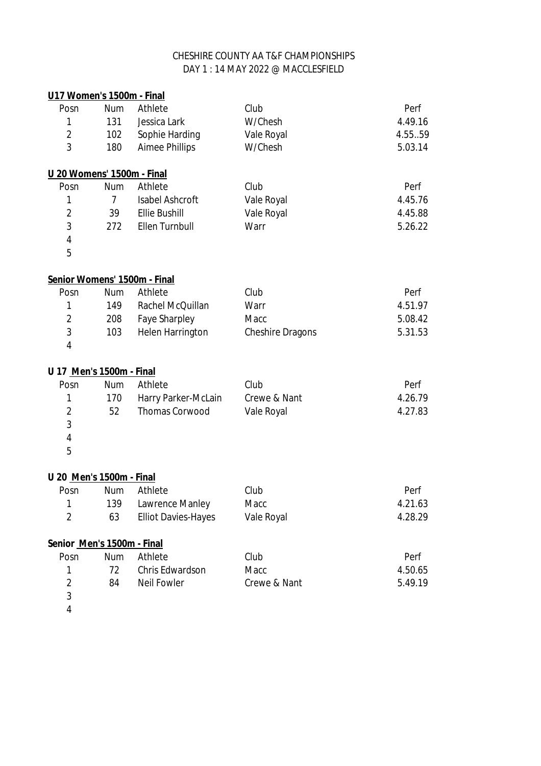| U17 Women's 1500m - Final  |                |                              |                         |         |
|----------------------------|----------------|------------------------------|-------------------------|---------|
| Posn                       | <b>Num</b>     | Athlete                      | Club                    | Perf    |
| 1                          | 131            | Jessica Lark                 | W/Chesh                 | 4.49.16 |
| $\overline{2}$             | 102            | Sophie Harding               | Vale Royal              | 4.5559  |
| 3                          | 180            | <b>Aimee Phillips</b>        | W/Chesh                 | 5.03.14 |
| U 20 Womens' 1500m - Final |                |                              |                         |         |
| Posn                       | <b>Num</b>     | Athlete                      | Club                    | Perf    |
| 1                          | $\overline{7}$ | <b>Isabel Ashcroft</b>       | Vale Royal              | 4.45.76 |
| 2                          | 39             | <b>Ellie Bushill</b>         | Vale Royal              | 4.45.88 |
| 3                          | 272            | <b>Ellen Turnbull</b>        | Warr                    | 5.26.22 |
| 4                          |                |                              |                         |         |
| 5                          |                |                              |                         |         |
|                            |                | Senior Womens' 1500m - Final |                         |         |
| Posn                       | <b>Num</b>     | Athlete                      | Club                    | Perf    |
| 1                          | 149            | Rachel McQuillan             | Warr                    | 4.51.97 |
| 2                          | 208            | <b>Faye Sharpley</b>         | Macc                    | 5.08.42 |
| 3                          | 103            | <b>Helen Harrington</b>      | <b>Cheshire Dragons</b> | 5.31.53 |
| 4                          |                |                              |                         |         |
| U 17 Men's 1500m - Final   |                |                              |                         |         |
| Posn                       | <b>Num</b>     | Athlete                      | Club                    | Perf    |
| 1                          | 170            | Harry Parker-McLain          | Crewe & Nant            | 4.26.79 |
| $\overline{2}$             | 52             | <b>Thomas Corwood</b>        | Vale Royal              | 4.27.83 |
| 3                          |                |                              |                         |         |
| 4                          |                |                              |                         |         |
| 5                          |                |                              |                         |         |
| U 20 Men's 1500m - Final   |                |                              |                         |         |
| Posn                       | <b>Num</b>     | Athlete                      | Club                    | Perf    |
| 1                          | 139            | Lawrence Manley              | Macc                    | 4.21.63 |
| $\overline{2}$             | 63             | <b>Elliot Davies-Hayes</b>   | Vale Royal              | 4.28.29 |
| Senior Men's 1500m - Final |                |                              |                         |         |
| Posn                       | <b>Num</b>     | Athlete                      | Club                    | Perf    |
| 1                          | 72             | Chris Edwardson              | Macc                    | 4.50.65 |
| $\overline{2}$             | 84             | <b>Neil Fowler</b>           | Crewe & Nant            | 5.49.19 |
| 3                          |                |                              |                         |         |
|                            |                |                              |                         |         |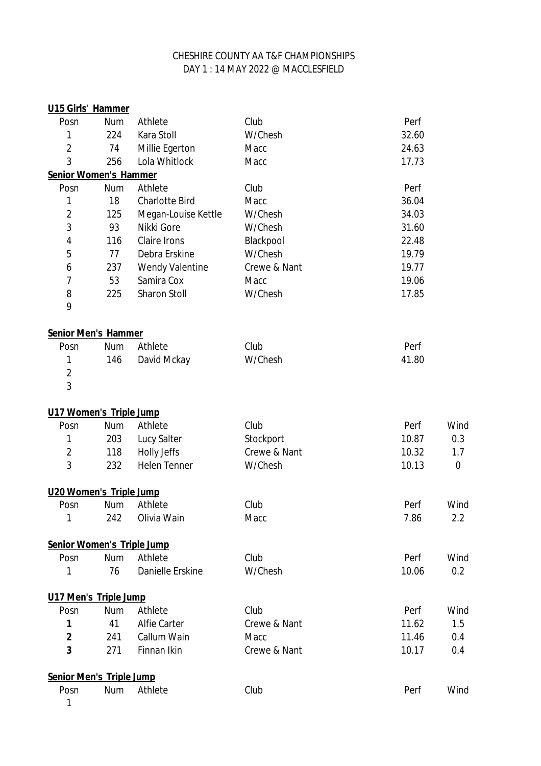| U15 Girls' Hammer               |            |                         |              |       |      |
|---------------------------------|------------|-------------------------|--------------|-------|------|
| Posn                            | Num        | Athlete                 | Club         | Perf  |      |
| 1                               | 224        | Kara Stoll              | W/Chesh      | 32.60 |      |
| $\overline{2}$                  | 74         | Millie Egerton          | Macc         | 24.63 |      |
| 3                               | 256        | Lola Whitlock           | Macc         | 17.73 |      |
| <b>Senior Women's Hammer</b>    |            |                         |              |       |      |
| Posn                            | <b>Num</b> | Athlete                 | Club         | Perf  |      |
| 1                               | 18         | <b>Charlotte Bird</b>   | Macc         | 36.04 |      |
| $\overline{2}$                  | 125        | Megan-Louise Kettle     | W/Chesh      | 34.03 |      |
| 3                               | 93         | Nikki Gore              | W/Chesh      | 31.60 |      |
| 4                               | 116        | <b>Claire Irons</b>     | Blackpool    | 22.48 |      |
| 5                               | 77         | Debra Erskine           | W/Chesh      | 19.79 |      |
| 6                               | 237        | <b>Wendy Valentine</b>  | Crewe & Nant | 19.77 |      |
| $\overline{7}$                  | 53         | Samira Cox              | Macc         | 19.06 |      |
| 8                               | 225        | <b>Sharon Stoll</b>     | W/Chesh      | 17.85 |      |
| 9                               |            |                         |              |       |      |
| Senior Men's Hammer             |            |                         |              |       |      |
| Posn                            | <b>Num</b> | Athlete                 | Club         | Perf  |      |
| 1                               | 146        | David Mckay             | W/Chesh      | 41.80 |      |
| $\overline{2}$                  |            |                         |              |       |      |
| 3                               |            |                         |              |       |      |
| U17 Women's Triple Jump         |            |                         |              |       |      |
| Posn                            | <b>Num</b> | Athlete                 | Club         | Perf  | Wind |
| 1                               | 203        | <b>Lucy Salter</b>      | Stockport    | 10.87 | 0.3  |
| $\overline{2}$                  | 118        | <b>Holly Jeffs</b>      | Crewe & Nant | 10.32 | 1.7  |
| 3                               | 232        | <b>Helen Tenner</b>     | W/Chesh      | 10.13 | 0    |
| U20 Women's Triple Jump         |            |                         |              |       |      |
| Posn                            | <b>Num</b> | Athlete                 | Club         | Perf  | Wind |
| 1                               | 242        | Olivia Wain             | Macc         | 7.86  | 2.2  |
| Senior Women's Triple Jump      |            |                         |              |       |      |
| Posn                            | <b>Num</b> | Athlete                 | Club         | Perf  | Wind |
| 1                               | 76         | <b>Danielle Erskine</b> | W/Chesh      | 10.06 | 0.2  |
| U17 Men's Triple Jump           |            |                         |              |       |      |
| Posn                            | <b>Num</b> | Athlete                 | Club         | Perf  | Wind |
| 1                               | 41         | <b>Alfie Carter</b>     | Crewe & Nant | 11.62 | 1.5  |
| $\overline{2}$                  | 241        | Callum Wain             | Macc         | 11.46 | 0.4  |
| 3                               | 271        | Finnan Ikin             | Crewe & Nant | 10.17 | 0.4  |
| <b>Senior Men's Triple Jump</b> |            |                         |              |       |      |
| Posn                            | Num        | Athlete                 | Club         | Perf  | Wind |
|                                 |            |                         |              |       |      |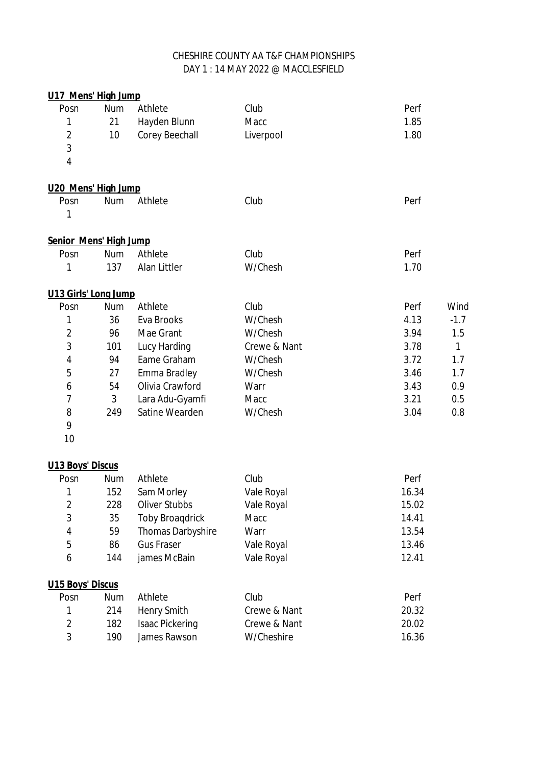| U17 Mens' High Jump     |            |                          |                   |       |              |
|-------------------------|------------|--------------------------|-------------------|-------|--------------|
| Posn                    | <b>Num</b> | Athlete                  | Club              | Perf  |              |
| 1                       | 21         | Hayden Blunn             | Macc              | 1.85  |              |
| $\overline{2}$          | 10         | <b>Corey Beechall</b>    | Liverpool         | 1.80  |              |
| 3                       |            |                          |                   |       |              |
| 4                       |            |                          |                   |       |              |
| U20 Mens' High Jump     |            |                          |                   |       |              |
| Posn                    | <b>Num</b> | Athlete                  | Club              | Perf  |              |
| 1                       |            |                          |                   |       |              |
| Senior Mens' High Jump  |            |                          |                   |       |              |
| Posn                    | <b>Num</b> | Athlete                  | Club              | Perf  |              |
| 1                       | 137        | <b>Alan Littler</b>      | W/Chesh           | 1.70  |              |
| U13 Girls' Long Jump    |            |                          |                   |       |              |
| Posn                    | <b>Num</b> | Athlete                  | Club              | Perf  | Wind         |
| 1                       | 36         | <b>Eva Brooks</b>        | W/Chesh           | 4.13  | $-1.7$       |
| $\overline{2}$          | 96         | Mae Grant                | W/Chesh           | 3.94  | 1.5          |
| 3                       | 101        | <b>Lucy Harding</b>      | Crewe & Nant      | 3.78  | $\mathbf{1}$ |
| $\overline{4}$          | 94         | Eame Graham              | W/Chesh           | 3.72  | 1.7          |
| 5                       | 27         | <b>Emma Bradley</b>      | W/Chesh           | 3.46  | 1.7          |
| 6                       | 54         | Olivia Crawford          | Warr              | 3.43  | 0.9          |
| 7                       | 3          | Lara Adu-Gyamfi          | Macc              | 3.21  | 0.5          |
| 8                       | 249        | Satine Wearden           | W/Chesh           | 3.04  | 0.8          |
| 9                       |            |                          |                   |       |              |
| 10                      |            |                          |                   |       |              |
| <b>U13 Boys' Discus</b> |            |                          |                   |       |              |
| Posn                    | <b>Num</b> | Athlete                  | Club              | Perf  |              |
| 1                       | 152        | Sam Morley               | <b>Vale Royal</b> | 16.34 |              |
| $\overline{2}$          | 228        | <b>Oliver Stubbs</b>     | Vale Royal        | 15.02 |              |
| 3                       | 35         | <b>Toby Broagdrick</b>   | Macc              | 14.41 |              |
| 4                       | 59         | <b>Thomas Darbyshire</b> | Warr              | 13.54 |              |
| 5                       | 86         | <b>Gus Fraser</b>        | Vale Royal        | 13.46 |              |
| 6                       | 144        | james McBain             | Vale Royal        | 12.41 |              |
| <b>U15 Boys' Discus</b> |            |                          |                   |       |              |
| Posn                    | Num        | Athlete                  | Club              | Perf  |              |
| 1                       | 214        | <b>Henry Smith</b>       | Crewe & Nant      | 20.32 |              |
| $\overline{2}$          | 182        | <b>Isaac Pickering</b>   | Crewe & Nant      | 20.02 |              |
| 3                       | 190        | James Rawson             | W/Cheshire        | 16.36 |              |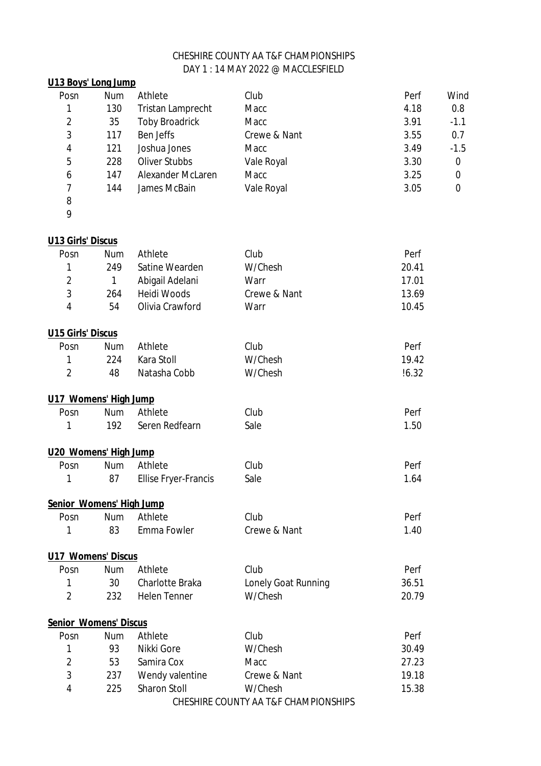# DAY 1 : 14 MAY 2022 @ MACCLESFIELD CHESHIRE COUNTY AA T&F CHAMPIONSHIPS

| U13 Boys' Long Jump          |            |                             |                     |       |        |
|------------------------------|------------|-----------------------------|---------------------|-------|--------|
| Posn                         | <b>Num</b> | Athlete                     | Club                | Perf  | Wind   |
| 1                            | 130        | <b>Tristan Lamprecht</b>    | Macc                | 4.18  | 0.8    |
| $\overline{2}$               | 35         | <b>Toby Broadrick</b>       | Macc                | 3.91  | $-1.1$ |
| 3                            | 117        | <b>Ben Jeffs</b>            | Crewe & Nant        | 3.55  | 0.7    |
| 4                            | 121        | Joshua Jones                | Macc                | 3.49  | $-1.5$ |
| 5                            | 228        | <b>Oliver Stubbs</b>        | Vale Royal          | 3.30  | 0      |
| 6                            | 147        | <b>Alexander McLaren</b>    | Macc                | 3.25  | 0      |
| $\overline{7}$               | 144        | James McBain                | Vale Royal          | 3.05  | 0      |
| 8                            |            |                             |                     |       |        |
| 9                            |            |                             |                     |       |        |
| <b>U13 Girls' Discus</b>     |            |                             |                     |       |        |
| Posn                         | <b>Num</b> | Athlete                     | Club                | Perf  |        |
| 1                            | 249        | Satine Wearden              | W/Chesh             | 20.41 |        |
| $\overline{2}$               | 1          | Abigail Adelani             | Warr                | 17.01 |        |
| 3                            | 264        | <b>Heidi Woods</b>          | Crewe & Nant        | 13.69 |        |
| 4                            | 54         | Olivia Crawford             | Warr                | 10.45 |        |
| <b>U15 Girls' Discus</b>     |            |                             |                     |       |        |
| Posn                         | <b>Num</b> | Athlete                     | Club                | Perf  |        |
| 1                            | 224        | Kara Stoll                  | W/Chesh             | 19.42 |        |
| $\overline{2}$               | 48         | Natasha Cobb                | W/Chesh             | !6.32 |        |
| U17 Womens' High Jump        |            |                             |                     |       |        |
| Posn                         | <b>Num</b> | Athlete                     | Club                | Perf  |        |
| 1                            | 192        | Seren Redfearn              | Sale                | 1.50  |        |
| U20 Womens' High Jump        |            |                             |                     |       |        |
| Posn                         | <b>Num</b> | Athlete                     | Club                | Perf  |        |
| 1                            | 87         | <b>Ellise Fryer-Francis</b> | Sale                | 1.64  |        |
| Senior Womens' High Jump     |            |                             |                     |       |        |
| Posn                         | <b>Num</b> | Athlete                     | Club                | Perf  |        |
| 1                            | 83         | Emma Fowler                 | Crewe & Nant        | 1.40  |        |
| <b>U17 Womens' Discus</b>    |            |                             |                     |       |        |
| Posn                         | <b>Num</b> | Athlete                     | Club                | Perf  |        |
| 1                            | 30         | <b>Charlotte Braka</b>      | Lonely Goat Running | 36.51 |        |
| $\overline{2}$               | 232        | <b>Helen Tenner</b>         | W/Chesh             | 20.79 |        |
| <b>Senior Womens' Discus</b> |            |                             |                     |       |        |
| Posn                         | <b>Num</b> | Athlete                     | Club                | Perf  |        |
| 1                            | 93         | Nikki Gore                  | W/Chesh             | 30.49 |        |
| $\overline{2}$               | 53         | Samira Cox                  | Macc                | 27.23 |        |
| 3                            | 237        | Wendy valentine             | Crewe & Nant        | 19.18 |        |
| 4                            | 225        | <b>Sharon Stoll</b>         | W/Chesh             | 15.38 |        |

CHESHIRE COUNTY AA T&F CHAMPIONSHIPS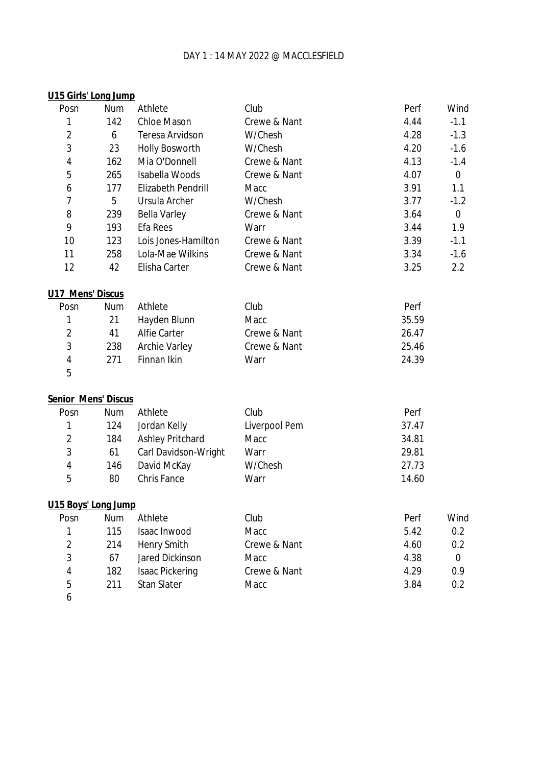### DAY 1 : 14 MAY 2022 @ MACCLESFIELD

| U15 Girls' Long Jump    |            |                           |                      |       |             |
|-------------------------|------------|---------------------------|----------------------|-------|-------------|
| Posn                    | Num        | Athlete                   | Club                 | Perf  | Wind        |
| 1                       | 142        | <b>Chloe Mason</b>        | Crewe & Nant         | 4.44  | $-1.1$      |
| $\overline{\mathbf{c}}$ | 6          | <b>Teresa Arvidson</b>    | W/Chesh              | 4.28  | $-1.3$      |
| 3                       | 23         | <b>Holly Bosworth</b>     | W/Chesh              | 4.20  | $-1.6$      |
| 4                       | 162        | Mia O'Donnell             | Crewe & Nant         | 4.13  | $-1.4$      |
| 5                       | 265        | <b>Isabella Woods</b>     | Crewe & Nant         | 4.07  | $\mathbf 0$ |
| 6                       | 177        | <b>Elizabeth Pendrill</b> | Macc                 | 3.91  | 1.1         |
| 7                       | 5          | <b>Ursula Archer</b>      | W/Chesh              | 3.77  | $-1.2$      |
| 8                       | 239        | <b>Bella Varley</b>       | Crewe & Nant         | 3.64  | $\mathbf 0$ |
| 9                       | 193        | <b>Efa Rees</b>           | Warr                 | 3.44  | 1.9         |
| 10                      | 123        | Lois Jones-Hamilton       | Crewe & Nant         | 3.39  | $-1.1$      |
| 11                      | 258        | Lola-Mae Wilkins          | Crewe & Nant         | 3.34  | $-1.6$      |
| 12                      | 42         | Elisha Carter             | Crewe & Nant         | 3.25  | 2.2         |
| <b>U17 Mens' Discus</b> |            |                           |                      |       |             |
| Posn                    | Num        | Athlete                   | Club                 | Perf  |             |
| 1                       | 21         | Hayden Blunn              | <b>Macc</b>          | 35.59 |             |
| $\overline{2}$          | 41         | <b>Alfie Carter</b>       | Crewe & Nant         | 26.47 |             |
| 3                       | 238        | <b>Archie Varley</b>      | Crewe & Nant         | 25.46 |             |
| 4                       | 271        | Finnan Ikin               | Warr                 | 24.39 |             |
| 5                       |            |                           |                      |       |             |
| Senior Mens' Discus     |            |                           |                      |       |             |
| Posn                    | Num        | Athlete                   | Club                 | Perf  |             |
| 1                       | 124        | Jordan Kelly              | <b>Liverpool Pem</b> | 37.47 |             |
| $\overline{2}$          | 184        | <b>Ashley Pritchard</b>   | Macc                 | 34.81 |             |
| 3                       | 61         | Carl Davidson-Wright      | Warr                 | 29.81 |             |
| $\overline{\mathbf{r}}$ | 146        | David McKay               | W/Chesh              | 27.73 |             |
| 5                       | 80         | <b>Chris Fance</b>        | Warr                 | 14.60 |             |
| U15 Boys' Long Jump     |            |                           |                      |       |             |
| Posn                    | <b>Num</b> | Athlete                   | Club                 | Perf  | Wind        |
| 1                       | 115        | <b>Isaac Inwood</b>       | Macc                 | 5.42  | 0.2         |
| $\overline{2}$          | 214        | <b>Henry Smith</b>        | Crewe & Nant         | 4.60  | 0.2         |
| 3                       | 67         | <b>Jared Dickinson</b>    | <b>Macc</b>          | 4.38  | 0           |
| 4                       | 182        | <b>Isaac Pickering</b>    | Crewe & Nant         | 4.29  | 0.9         |
| 5                       | 211        | <b>Stan Slater</b>        | Macc                 | 3.84  | 0.2         |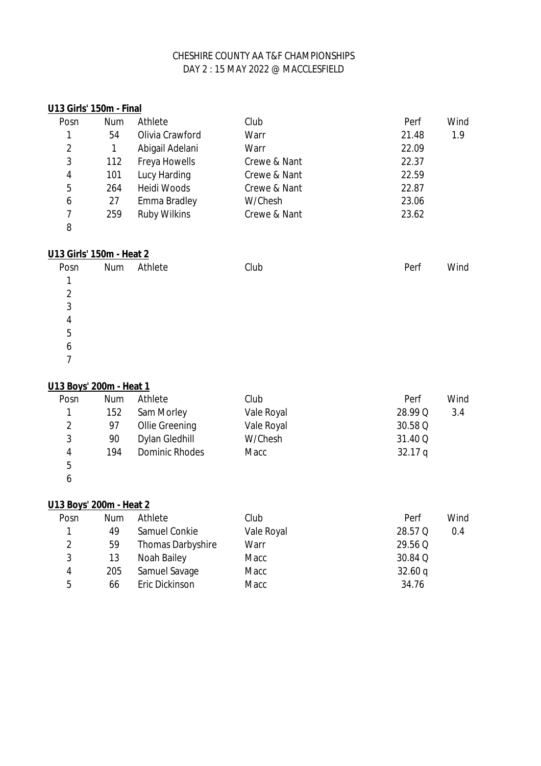| U13 Girls' 150m - Final  |            |                       |              |         |      |
|--------------------------|------------|-----------------------|--------------|---------|------|
| Posn                     | <b>Num</b> | Athlete               | Club         | Perf    | Wind |
| 1                        | 54         | Olivia Crawford       | Warr         | 21.48   | 1.9  |
| $\overline{2}$           | 1          | Abigail Adelani       | Warr         | 22.09   |      |
| 3                        | 112        | <b>Freya Howells</b>  | Crewe & Nant | 22.37   |      |
| 4                        | 101        | <b>Lucy Harding</b>   | Crewe & Nant | 22.59   |      |
| 5                        | 264        | <b>Heidi Woods</b>    | Crewe & Nant | 22.87   |      |
| 6                        | 27         | <b>Emma Bradley</b>   | W/Chesh      | 23.06   |      |
| $\overline{7}$           | 259        | <b>Ruby Wilkins</b>   | Crewe & Nant | 23.62   |      |
| 8                        |            |                       |              |         |      |
| U13 Girls' 150m - Heat 2 |            |                       |              |         |      |
| Posn                     | <b>Num</b> | Athlete               | Club         | Perf    | Wind |
| 1                        |            |                       |              |         |      |
| $\overline{2}$           |            |                       |              |         |      |
| $\overline{3}$           |            |                       |              |         |      |
| $\overline{\mathbf{r}}$  |            |                       |              |         |      |
| 5                        |            |                       |              |         |      |
| 6                        |            |                       |              |         |      |
| 7                        |            |                       |              |         |      |
| U13 Boys' 200m - Heat 1  |            |                       |              |         |      |
| Posn                     | <b>Num</b> | Athlete               | Club         | Perf    | Wind |
| 1                        | 152        | Sam Morley            | Vale Royal   | 28.99 Q | 3.4  |
| $\overline{2}$           | 97         | <b>Ollie Greening</b> | Vale Royal   | 30.58 Q |      |
| 3                        | 90         | <b>Dylan Gledhill</b> | W/Chesh      | 31.40 Q |      |
| $\overline{\mathbf{4}}$  | 194        | <b>Dominic Rhodes</b> | Macc         | 32.17q  |      |
| $\overline{5}$           |            |                       |              |         |      |
| 6                        |            |                       |              |         |      |
|                          |            |                       |              |         |      |

# **U13 Boys' 200m - Heat 2**

| Posn | <b>Num</b> | Athlete                  | Club       | Perf    | Wind |
|------|------------|--------------------------|------------|---------|------|
|      | 49         | Samuel Conkie            | Vale Royal | 28.57 Q | 0.4  |
| 2    | 59         | <b>Thomas Darbyshire</b> | Warr       | 29.56 Q |      |
| 3    | 13         | <b>Noah Bailey</b>       | Macc       | 30.84 Q |      |
| 4    | 205        | Samuel Savage            | Macc       | 32.60q  |      |
| 5    | 66         | Eric Dickinson           | Macc       | 34.76   |      |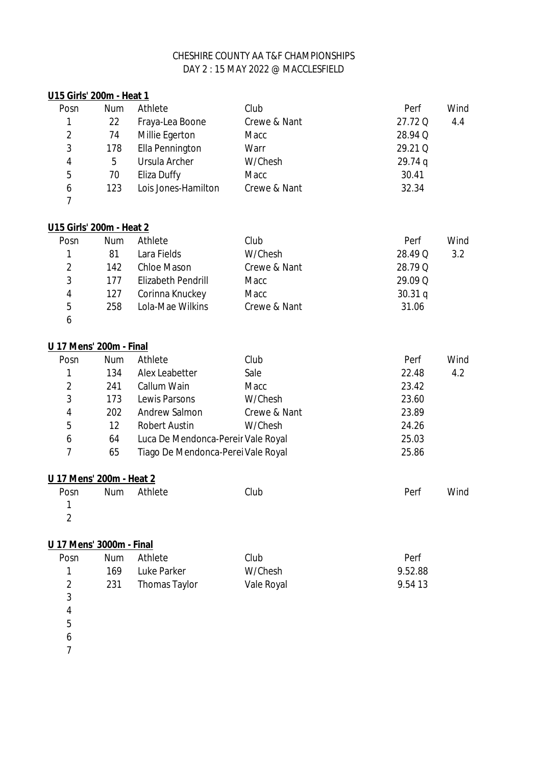### Posn Num Athlete Club Perf Wind 22 Fraya-Lea Boone Crewe & Nant 27.72 Q 4.4 74 Millie Egerton Macc 28.94 Q 178 Ella Pennington Warr 29.21 Q 5 Ursula Archer W/Chesh 29.74 q 70 Eliza Duffy Macc 30.41 123 Lois Jones-Hamilton Crewe & Nant 32.34 **U15 Girls' 200m - Heat 1**

#### **U15 Girls' 200m - Heat 2**

| Posn | <b>Num</b> | Athlete                   | Club         | Perf      | Wind |
|------|------------|---------------------------|--------------|-----------|------|
|      | 81         | Lara Fields               | W/Chesh      | 28.49 Q   | 3.2  |
| 2    | 142        | <b>Chloe Mason</b>        | Crewe & Nant | 28.79 Q   |      |
| 3    | 177        | <b>Elizabeth Pendrill</b> | Macc         | 29.09 Q   |      |
| 4    | 127        | Corinna Knuckey           | Macc         | $30.31$ q |      |
| 5    | 258        | Lola-Mae Wilkins          | Crewe & Nant | 31.06     |      |
|      |            |                           |              |           |      |

# **U 17 Mens' 200m - Final**

| Posn | <b>Num</b> | Athlete                            | Club         | Perf  | Wind |
|------|------------|------------------------------------|--------------|-------|------|
| 1    | 134        | Alex Leabetter                     | Sale         | 22.48 | 4.2  |
| 2    | 241        | <b>Callum Wain</b>                 | Macc         | 23.42 |      |
| 3    | 173        | Lewis Parsons                      | W/Chesh      | 23.60 |      |
| 4    | 202        | <b>Andrew Salmon</b>               | Crewe & Nant | 23.89 |      |
| 5    | 12         | <b>Robert Austin</b>               | W/Chesh      | 24.26 |      |
| 6    | 64         | Luca De Mendonca-Pereir Vale Royal |              | 25.03 |      |
|      | 65         | Tiago De Mendonca-Perei Vale Royal |              | 25.86 |      |
|      |            |                                    |              |       |      |

#### **U 17 Mens' 200m - Heat 2**

| Posn                     | Num Athlete | Club | Perf | Wind |
|--------------------------|-------------|------|------|------|
| $\blacksquare$ 1         |             |      |      |      |
| $\overline{\phantom{a}}$ |             |      |      |      |

### **U 17 Mens' 3000m - Final**

| Posn | Num  | Athlete           | Club       | Perf    |
|------|------|-------------------|------------|---------|
|      | 169. | Luke Parker       | W/Chesh    | 9.52.88 |
| 2    |      | 231 Thomas Taylor | Vale Royal | 9.54 13 |
| - 3  |      |                   |            |         |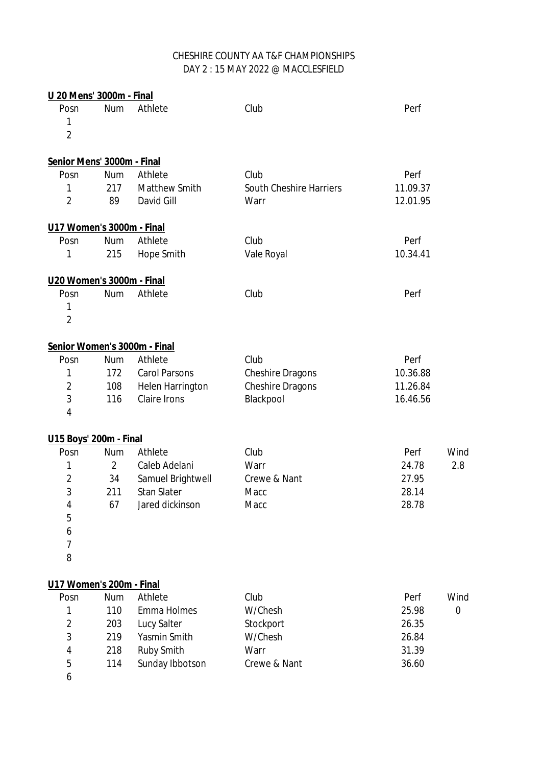| U 20 Mens' 3000m - Final   |                |                              |                                |          |      |
|----------------------------|----------------|------------------------------|--------------------------------|----------|------|
| Posn                       | <b>Num</b>     | Athlete                      | Club                           | Perf     |      |
| 1                          |                |                              |                                |          |      |
| $\overline{2}$             |                |                              |                                |          |      |
| Senior Mens' 3000m - Final |                |                              |                                |          |      |
| Posn                       | <b>Num</b>     | Athlete                      | Club                           | Perf     |      |
| 1                          | 217            | <b>Matthew Smith</b>         | <b>South Cheshire Harriers</b> | 11.09.37 |      |
| $\overline{2}$             | 89             | David Gill                   | Warr                           | 12.01.95 |      |
| U17 Women's 3000m - Final  |                |                              |                                |          |      |
| Posn                       | <b>Num</b>     | Athlete                      | Club                           | Perf     |      |
| 1                          | 215            | <b>Hope Smith</b>            | Vale Royal                     | 10.34.41 |      |
| U20 Women's 3000m - Final  |                |                              |                                |          |      |
| Posn                       | <b>Num</b>     | Athlete                      | Club                           | Perf     |      |
| 1                          |                |                              |                                |          |      |
| $\overline{2}$             |                |                              |                                |          |      |
|                            |                | Senior Women's 3000m - Final |                                |          |      |
| Posn                       | <b>Num</b>     | Athlete                      | Club                           | Perf     |      |
| 1                          | 172            | <b>Carol Parsons</b>         | <b>Cheshire Dragons</b>        | 10.36.88 |      |
| 2                          | 108            | <b>Helen Harrington</b>      | <b>Cheshire Dragons</b>        | 11.26.84 |      |
| 3                          | 116            | <b>Claire Irons</b>          | Blackpool                      | 16.46.56 |      |
| 4                          |                |                              |                                |          |      |
| U15 Boys' 200m - Final     |                |                              |                                |          |      |
| Posn                       | <b>Num</b>     | Athlete                      | Club                           | Perf     | Wind |
| 1                          | $\overline{2}$ | Caleb Adelani                | Warr                           | 24.78    | 2.8  |
| $\overline{\mathbf{c}}$    | 34             | Samuel Brightwell            | Crewe & Nant                   | 27.95    |      |
| 3                          | 211            | <b>Stan Slater</b>           | Macc                           | 28.14    |      |
| 4                          | 67             | Jared dickinson              | Macc                           | 28.78    |      |
| 5                          |                |                              |                                |          |      |
| 6                          |                |                              |                                |          |      |
| 7                          |                |                              |                                |          |      |
| 8                          |                |                              |                                |          |      |
| U17 Women's 200m - Final   |                |                              |                                |          |      |
| Posn                       | <b>Num</b>     | Athlete                      | Club                           | Perf     | Wind |
| 1                          | 110            | <b>Emma Holmes</b>           | W/Chesh                        | 25.98    | 0    |
| $\overline{2}$             | 203            | <b>Lucy Salter</b>           | Stockport                      | 26.35    |      |
| 3                          | 219            | Yasmin Smith                 | W/Chesh                        | 26.84    |      |
| 4                          | 218            | <b>Ruby Smith</b>            | Warr                           | 31.39    |      |
| 5                          | 114            | Sunday Ibbotson              | Crewe & Nant                   | 36.60    |      |
| 6                          |                |                              |                                |          |      |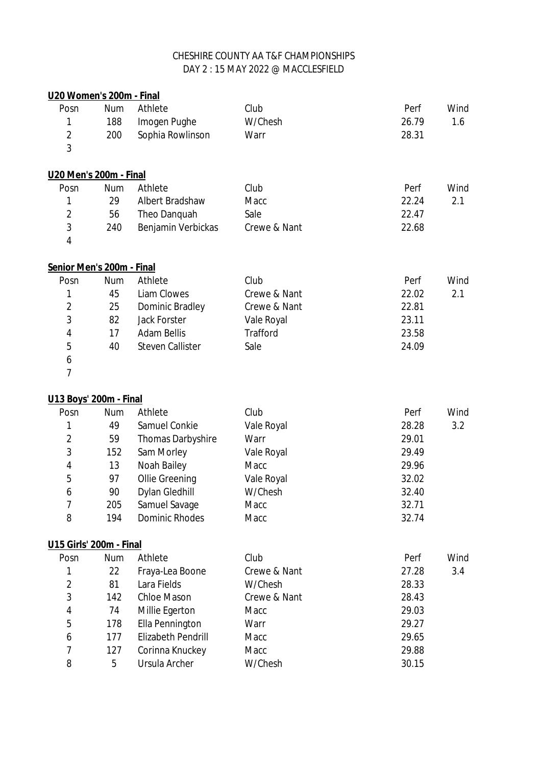| U20 Women's 200m - Final  |            |                           |                 |       |      |
|---------------------------|------------|---------------------------|-----------------|-------|------|
| Posn                      | <b>Num</b> | Athlete                   | Club            | Perf  | Wind |
| 1                         | 188        | Imogen Pughe              | W/Chesh         | 26.79 | 1.6  |
| $\overline{2}$            | 200        | Sophia Rowlinson          | Warr            | 28.31 |      |
| 3                         |            |                           |                 |       |      |
| U20 Men's 200m - Final    |            |                           |                 |       |      |
| Posn                      | <b>Num</b> | Athlete                   | Club            | Perf  | Wind |
| 1                         | 29         | <b>Albert Bradshaw</b>    | Macc            | 22.24 | 2.1  |
| $\overline{2}$            | 56         | Theo Danquah              | Sale            | 22.47 |      |
| $\mathbf{3}$              | 240        | Benjamin Verbickas        | Crewe & Nant    | 22.68 |      |
| 4                         |            |                           |                 |       |      |
| Senior Men's 200m - Final |            |                           |                 |       |      |
| Posn                      | <b>Num</b> | Athlete                   | Club            | Perf  | Wind |
| 1                         | 45         | <b>Liam Clowes</b>        | Crewe & Nant    | 22.02 | 2.1  |
| $\overline{2}$            | 25         | Dominic Bradley           | Crewe & Nant    | 22.81 |      |
| 3                         | 82         | <b>Jack Forster</b>       | Vale Royal      | 23.11 |      |
| 4                         | 17         | <b>Adam Bellis</b>        | <b>Trafford</b> | 23.58 |      |
| 5                         | 40         | <b>Steven Callister</b>   | Sale            | 24.09 |      |
| 6                         |            |                           |                 |       |      |
| 7                         |            |                           |                 |       |      |
| U13 Boys' 200m - Final    |            |                           |                 |       |      |
| Posn                      | <b>Num</b> | Athlete                   | Club            | Perf  | Wind |
| 1                         | 49         | <b>Samuel Conkie</b>      | Vale Royal      | 28.28 | 3.2  |
| $\overline{2}$            | 59         | <b>Thomas Darbyshire</b>  | Warr            | 29.01 |      |
| 3                         | 152        | Sam Morley                | Vale Royal      | 29.49 |      |
| 4                         | 13         | <b>Noah Bailey</b>        | Macc            | 29.96 |      |
| 5                         | 97         | <b>Ollie Greening</b>     | Vale Royal      | 32.02 |      |
| 6                         | 90         | <b>Dylan Gledhill</b>     | W/Chesh         | 32.40 |      |
| 7                         | 205        | Samuel Savage             | Macc            | 32.71 |      |
| 8                         | 194        | <b>Dominic Rhodes</b>     | Macc            | 32.74 |      |
| U15 Girls' 200m - Final   |            |                           |                 |       |      |
| Posn                      | <b>Num</b> | Athlete                   | Club            | Perf  | Wind |
| 1                         | 22         | Fraya-Lea Boone           | Crewe & Nant    | 27.28 | 3.4  |
| $\overline{2}$            | 81         | Lara Fields               | W/Chesh         | 28.33 |      |
| 3                         | 142        | <b>Chloe Mason</b>        | Crewe & Nant    | 28.43 |      |
| 4                         | 74         | Millie Egerton            | Macc            | 29.03 |      |
| 5                         | 178        | <b>Ella Pennington</b>    | Warr            | 29.27 |      |
| 6                         | 177        | <b>Elizabeth Pendrill</b> | Macc            | 29.65 |      |
| 7                         | 127        | Corinna Knuckey           | Macc            | 29.88 |      |
| 8                         | 5          | Ursula Archer             | W/Chesh         | 30.15 |      |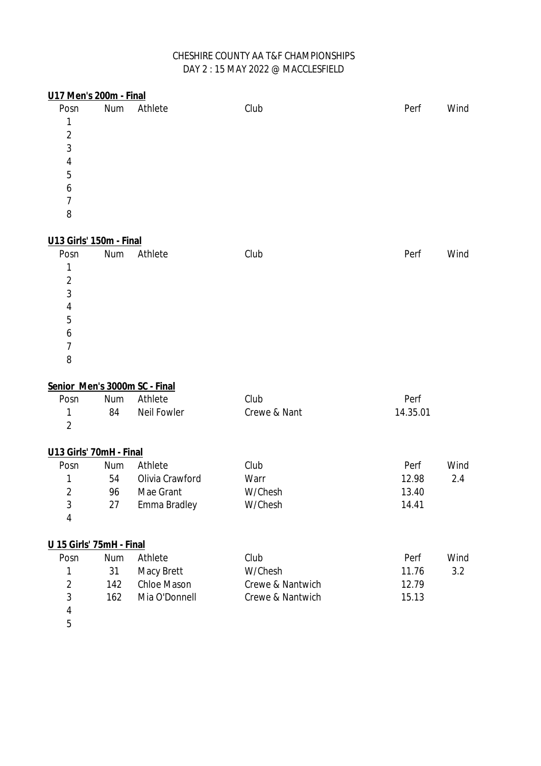# DAY 2 : 15 MAY 2022 @ MACCLESFIELD CHESHIRE COUNTY AA T&F CHAMPIONSHIPS

| <b>U17 Men's 200m - Final</b> |            |                               |                  |          |      |
|-------------------------------|------------|-------------------------------|------------------|----------|------|
| Posn                          | <b>Num</b> | Athlete                       | Club             | Perf     | Wind |
| 1                             |            |                               |                  |          |      |
| $\overline{2}$                |            |                               |                  |          |      |
| $\overline{3}$                |            |                               |                  |          |      |
| 4                             |            |                               |                  |          |      |
| 5                             |            |                               |                  |          |      |
| 6                             |            |                               |                  |          |      |
| $\overline{7}$                |            |                               |                  |          |      |
| 8                             |            |                               |                  |          |      |
| U13 Girls' 150m - Final       |            |                               |                  |          |      |
| Posn                          | <b>Num</b> | Athlete                       | Club             | Perf     | Wind |
| 1                             |            |                               |                  |          |      |
| $\overline{2}$                |            |                               |                  |          |      |
| 3                             |            |                               |                  |          |      |
| 4                             |            |                               |                  |          |      |
| 5                             |            |                               |                  |          |      |
| 6                             |            |                               |                  |          |      |
| $\overline{7}$                |            |                               |                  |          |      |
| 8                             |            |                               |                  |          |      |
|                               |            | Senior Men's 3000m SC - Final |                  |          |      |
| Posn                          | Num        | Athlete                       | Club             | Perf     |      |
| 1                             | 84         | <b>Neil Fowler</b>            | Crewe & Nant     | 14.35.01 |      |
| $\overline{2}$                |            |                               |                  |          |      |
| U13 Girls' 70mH - Final       |            |                               |                  |          |      |
| Posn                          | Num        | Athlete                       | Club             | Perf     | Wind |
| 1                             | 54         | Olivia Crawford               | Warr             | 12.98    | 2.4  |
| $\overline{2}$                | 96         | Mae Grant                     | W/Chesh          | 13.40    |      |
| 3                             | 27         | Emma Bradley                  | W/Chesh          | 14.41    |      |
| 4                             |            |                               |                  |          |      |
| U 15 Girls' 75mH - Final      |            |                               |                  |          |      |
| Posn                          | <b>Num</b> | Athlete                       | Club             | Perf     | Wind |
| 1                             | 31         | Macy Brett                    | W/Chesh          | 11.76    | 3.2  |
| $\overline{\mathbf{c}}$       | 142        | <b>Chloe Mason</b>            | Crewe & Nantwich | 12.79    |      |
| 3                             | 162        | Mia O'Donnell                 | Crewe & Nantwich | 15.13    |      |
| 4                             |            |                               |                  |          |      |
|                               |            |                               |                  |          |      |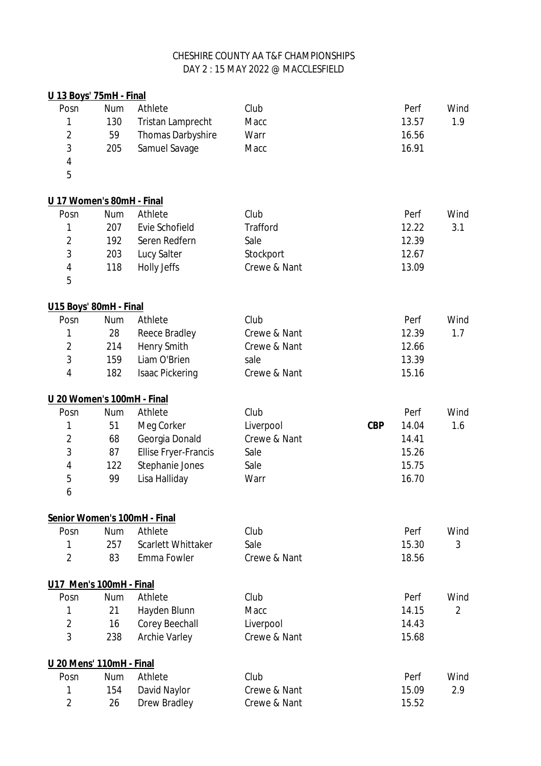| <u> U 13 Boys' 75mH - Final</u> |            |                              |                 |            |       |                |
|---------------------------------|------------|------------------------------|-----------------|------------|-------|----------------|
| Posn                            | <b>Num</b> | Athlete                      | Club            |            | Perf  | Wind           |
| 1                               | 130        | <b>Tristan Lamprecht</b>     | Macc            |            | 13.57 | 1.9            |
| $\overline{2}$                  | 59         | <b>Thomas Darbyshire</b>     | Warr            |            | 16.56 |                |
| $\overline{3}$                  | 205        | Samuel Savage                | Macc            |            | 16.91 |                |
| 4                               |            |                              |                 |            |       |                |
| 5                               |            |                              |                 |            |       |                |
| U 17 Women's 80mH - Final       |            |                              |                 |            |       |                |
| Posn                            | <b>Num</b> | Athlete                      | Club            |            | Perf  | Wind           |
| 1                               | 207        | <b>Evie Schofield</b>        | <b>Trafford</b> |            | 12.22 | 3.1            |
| $\overline{2}$                  | 192        | Seren Redfern                | Sale            |            | 12.39 |                |
| 3                               | 203        | <b>Lucy Salter</b>           | Stockport       |            | 12.67 |                |
| 4                               | 118        | <b>Holly Jeffs</b>           | Crewe & Nant    |            | 13.09 |                |
| 5                               |            |                              |                 |            |       |                |
| U15 Boys' 80mH - Final          |            |                              |                 |            |       |                |
| Posn                            | <b>Num</b> | Athlete                      | Club            |            | Perf  | Wind           |
| 1                               | 28         | <b>Reece Bradley</b>         | Crewe & Nant    |            | 12.39 | 1.7            |
| $\overline{2}$                  | 214        | <b>Henry Smith</b>           | Crewe & Nant    |            | 12.66 |                |
| 3                               | 159        | Liam O'Brien                 | sale            |            | 13.39 |                |
| 4                               | 182        | <b>Isaac Pickering</b>       | Crewe & Nant    |            | 15.16 |                |
| U 20 Women's 100mH - Final      |            |                              |                 |            |       |                |
| Posn                            | <b>Num</b> | Athlete                      | Club            |            | Perf  | Wind           |
| 1                               | 51         | Meg Corker                   | Liverpool       | <b>CBP</b> | 14.04 | 1.6            |
| $\overline{\mathbf{c}}$         | 68         | Georgia Donald               | Crewe & Nant    |            | 14.41 |                |
| 3                               | 87         | <b>Ellise Fryer-Francis</b>  | Sale            |            | 15.26 |                |
| 4                               | 122        | Stephanie Jones              | Sale            |            | 15.75 |                |
| 5                               | 99         | Lisa Halliday                | Warr            |            | 16.70 |                |
| 6                               |            |                              |                 |            |       |                |
|                                 |            | Senior Women's 100mH - Final |                 |            |       |                |
| Posn                            | <b>Num</b> | Athlete                      | Club            |            | Perf  | Wind           |
| 1                               | 257        | <b>Scarlett Whittaker</b>    | Sale            |            | 15.30 | 3              |
| $\overline{2}$                  | 83         | <b>Emma Fowler</b>           | Crewe & Nant    |            | 18.56 |                |
| U17 Men's 100mH - Final         |            |                              |                 |            |       |                |
| Posn                            | <b>Num</b> | Athlete                      | Club            |            | Perf  | Wind           |
| 1                               | 21         | Hayden Blunn                 | Macc            |            | 14.15 | $\overline{2}$ |
| $\overline{2}$                  | 16         | <b>Corey Beechall</b>        | Liverpool       |            | 14.43 |                |
| 3                               | 238        | <b>Archie Varley</b>         | Crewe & Nant    |            | 15.68 |                |
| U 20 Mens' 110mH - Final        |            |                              |                 |            |       |                |
| Posn                            | <b>Num</b> | Athlete                      | Club            |            | Perf  | Wind           |
| 1                               | 154        | David Naylor                 | Crewe & Nant    |            | 15.09 | 2.9            |
| $\overline{2}$                  | 26         | <b>Drew Bradley</b>          | Crewe & Nant    |            | 15.52 |                |
|                                 |            |                              |                 |            |       |                |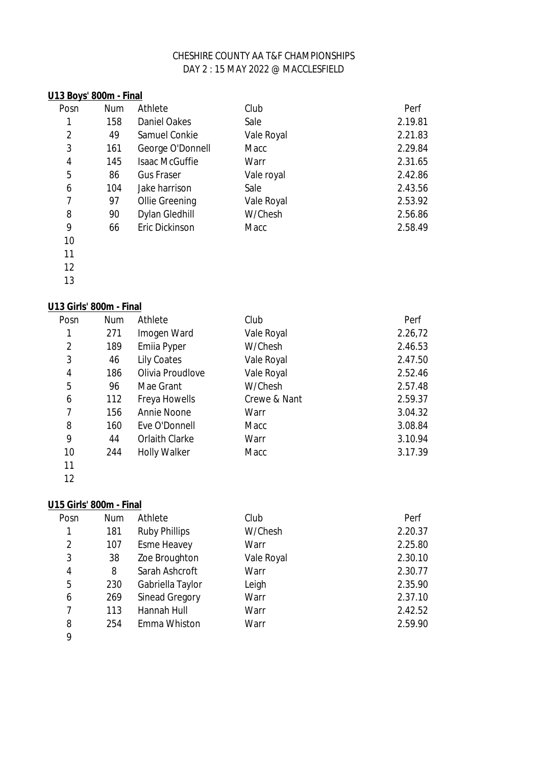### **U13 Boys' 800m - Final**

| Posn           | <b>Num</b> | Athlete               | Club       | Perf    |
|----------------|------------|-----------------------|------------|---------|
| 1              | 158        | <b>Daniel Oakes</b>   | Sale       | 2.19.81 |
| $\overline{2}$ | 49         | Samuel Conkie         | Vale Royal | 2.21.83 |
| 3              | 161        | George O'Donnell      | Macc       | 2.29.84 |
| 4              | 145        | <b>Isaac McGuffie</b> | Warr       | 2.31.65 |
| 5              | 86         | <b>Gus Fraser</b>     | Vale royal | 2.42.86 |
| 6              | 104        | Jake harrison         | Sale       | 2.43.56 |
| $\overline{7}$ | 97         | <b>Ollie Greening</b> | Vale Royal | 2.53.92 |
| 8              | 90         | <b>Dylan Gledhill</b> | W/Chesh    | 2.56.86 |
| 9              | 66         | Eric Dickinson        | Macc       | 2.58.49 |
|                |            |                       |            |         |

 

# **U13 Girls' 800m - Final**

| Posn           | <b>Num</b> | Athlete               | Club         | Perf    |
|----------------|------------|-----------------------|--------------|---------|
| 1              | 271        | Imogen Ward           | Vale Royal   | 2.26,72 |
| $\overline{2}$ | 189        | <b>Emila Pyper</b>    | W/Chesh      | 2.46.53 |
| 3              | 46         | <b>Lily Coates</b>    | Vale Royal   | 2.47.50 |
| 4              | 186        | Olivia Proudlove      | Vale Royal   | 2.52.46 |
| 5              | 96         | Mae Grant             | W/Chesh      | 2.57.48 |
| 6              | 112        | Freya Howells         | Crewe & Nant | 2.59.37 |
| 7              | 156        | <b>Annie Noone</b>    | Warr         | 3.04.32 |
| 8              | 160        | Eve O'Donnell         | Macc         | 3.08.84 |
| 9              | 44         | <b>Orlaith Clarke</b> | Warr         | 3.10.94 |
| 10             | 244        | <b>Holly Walker</b>   | Macc         | 3.17.39 |
| 11             |            |                       |              |         |

# **U15 Girls' 800m - Final**

| Posn           | <b>Num</b> | Athlete               | Club       | Perf    |
|----------------|------------|-----------------------|------------|---------|
| 1              | 181        | <b>Ruby Phillips</b>  | W/Chesh    | 2.20.37 |
| $\overline{2}$ | 107        | <b>Esme Heavey</b>    | Warr       | 2.25.80 |
| 3              | 38         | Zoe Broughton         | Vale Royal | 2.30.10 |
| 4              | 8          | Sarah Ashcroft        | Warr       | 2.30.77 |
| 5              | 230        | Gabriella Taylor      | Leigh      | 2.35.90 |
| 6              | 269        | <b>Sinead Gregory</b> | Warr       | 2.37.10 |
| 7              | 113        | <b>Hannah Hull</b>    | Warr       | 2.42.52 |
| 8              | 254        | Emma Whiston          | Warr       | 2.59.90 |
| 9              |            |                       |            |         |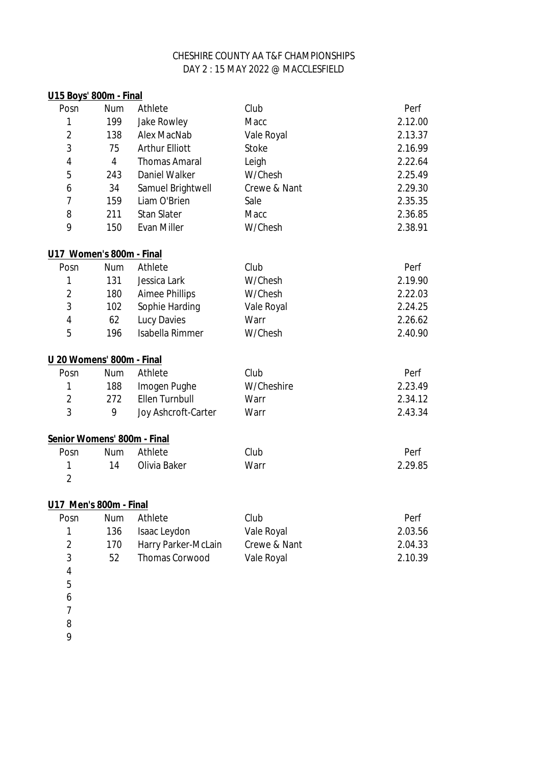| U15 Boys' 800m - Final      |            |                       |              |         |
|-----------------------------|------------|-----------------------|--------------|---------|
| Posn                        | Num        | Athlete               | Club         | Perf    |
| 1                           | 199        | <b>Jake Rowley</b>    | Macc         | 2.12.00 |
| $\overline{2}$              | 138        | <b>Alex MacNab</b>    | Vale Royal   | 2.13.37 |
| 3                           | 75         | <b>Arthur Elliott</b> | <b>Stoke</b> | 2.16.99 |
| 4                           | 4          | <b>Thomas Amaral</b>  | Leigh        | 2.22.64 |
| 5                           | 243        | <b>Daniel Walker</b>  | W/Chesh      | 2.25.49 |
| 6                           | 34         | Samuel Brightwell     | Crewe & Nant | 2.29.30 |
| $\overline{7}$              | 159        | Liam O'Brien          | Sale         | 2.35.35 |
| 8                           | 211        | <b>Stan Slater</b>    | Macc         | 2.36.85 |
| 9                           | 150        | <b>Evan Miller</b>    | W/Chesh      | 2.38.91 |
| U17 Women's 800m - Final    |            |                       |              |         |
| Posn                        | Num        | Athlete               | Club         | Perf    |
| 1                           | 131        | Jessica Lark          | W/Chesh      | 2.19.90 |
| $\overline{2}$              | 180        | <b>Aimee Phillips</b> | W/Chesh      | 2.22.03 |
| 3                           | 102        | Sophie Harding        | Vale Royal   | 2.24.25 |
| 4                           | 62         | <b>Lucy Davies</b>    | Warr         | 2.26.62 |
| 5                           | 196        | Isabella Rimmer       | W/Chesh      | 2.40.90 |
| U 20 Womens' 800m - Final   |            |                       |              |         |
| Posn                        | Num        | Athlete               | Club         | Perf    |
| $\mathbf{1}$                | 188        | Imogen Pughe          | W/Cheshire   | 2.23.49 |
| $\overline{2}$              | 272        | <b>Ellen Turnbull</b> | Warr         | 2.34.12 |
| 3                           | 9          | Joy Ashcroft-Carter   | Warr         | 2.43.34 |
| Senior Womens' 800m - Final |            |                       |              |         |
| Posn                        | <b>Num</b> | Athlete               | Club         | Perf    |
| 1                           | 14         | Olivia Baker          | Warr         | 2.29.85 |
| $\overline{2}$              |            |                       |              |         |
| U17 Men's 800m - Final      |            |                       |              |         |
| Posn                        | <b>Num</b> | Athlete               | Club         | Perf    |
| 1                           | 136        | Isaac Leydon          | Vale Royal   | 2.03.56 |
| $\overline{2}$              | 170        | Harry Parker-McLain   | Crewe & Nant | 2.04.33 |
| 3                           | 52         | <b>Thomas Corwood</b> | Vale Royal   | 2.10.39 |
| 4                           |            |                       |              |         |
| 5                           |            |                       |              |         |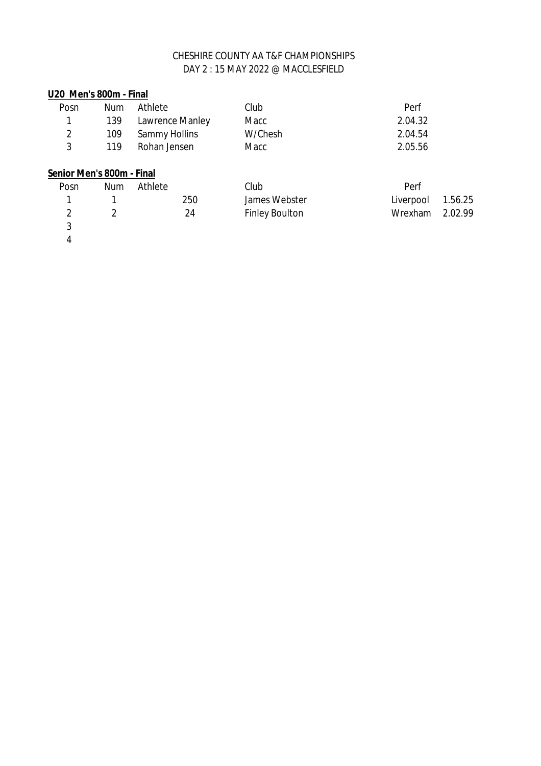### **U20 Men's 800m - Final**

| Posn | Num | Athlete             | Club    | Perf    |
|------|-----|---------------------|---------|---------|
|      |     | 139 Lawrence Manley | Macc    | 2.04.32 |
|      |     | 109 Sammy Hollins   | W/Chesh | 2.04.54 |
| ર    | 119 | Rohan Jensen        | Macc    | 2.05.56 |

# **Senior Men's 800m - Final**

| Posn | Num | Athlete |     | Club                  | Perf              |  |
|------|-----|---------|-----|-----------------------|-------------------|--|
|      |     |         | 250 | James Webster         | Liverpool 1.56.25 |  |
|      |     |         | 24  | <b>Finley Boulton</b> | Wrexham 2.02.99   |  |
|      |     |         |     |                       |                   |  |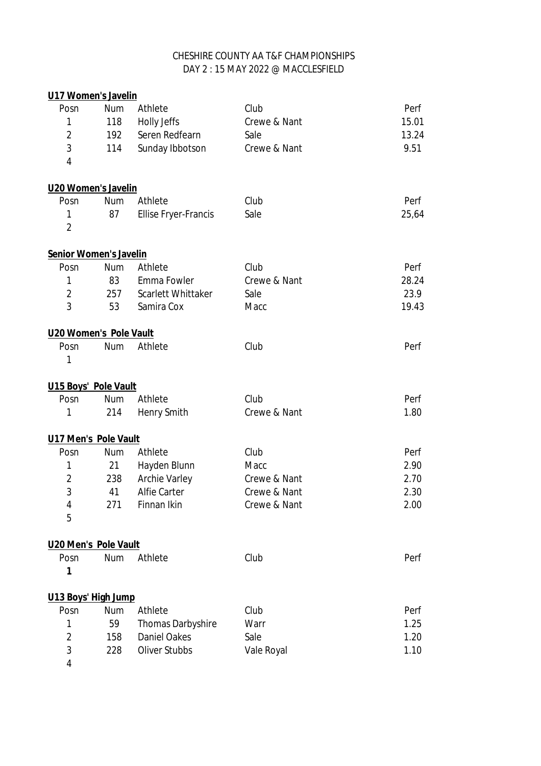| <b>U17 Women's Javelin</b> |            |                             |              |       |
|----------------------------|------------|-----------------------------|--------------|-------|
| Posn                       | <b>Num</b> | Athlete                     | Club         | Perf  |
| 1                          | 118        | <b>Holly Jeffs</b>          | Crewe & Nant | 15.01 |
| $\overline{2}$             | 192        | Seren Redfearn              | Sale         | 13.24 |
| 3                          | 114        | Sunday Ibbotson             | Crewe & Nant | 9.51  |
| 4                          |            |                             |              |       |
| U20 Women's Javelin        |            |                             |              |       |
| Posn                       | <b>Num</b> | Athlete                     | Club         | Perf  |
| $\mathbf{1}$               | 87         | <b>Ellise Fryer-Francis</b> | Sale         | 25,64 |
| $\overline{2}$             |            |                             |              |       |
| Senior Women's Javelin     |            |                             |              |       |
| Posn                       | Num        | Athlete                     | Club         | Perf  |
| $\mathbf{1}$               | 83         | Emma Fowler                 | Crewe & Nant | 28.24 |
| $\overline{2}$             | 257        | <b>Scarlett Whittaker</b>   | Sale         | 23.9  |
| 3                          | 53         | Samira Cox                  | Macc         | 19.43 |
| U20 Women's Pole Vault     |            |                             |              |       |
| Posn                       | <b>Num</b> | Athlete                     | Club         | Perf  |
| 1                          |            |                             |              |       |
| U15 Boys' Pole Vault       |            |                             |              |       |
| Posn                       | <b>Num</b> | Athlete                     | Club         | Perf  |
| 1                          | 214        | <b>Henry Smith</b>          | Crewe & Nant | 1.80  |
| U17 Men's Pole Vault       |            |                             |              |       |
| Posn                       | <b>Num</b> | Athlete                     | Club         | Perf  |
| 1                          | 21         | Hayden Blunn                | Macc         | 2.90  |
| $\overline{2}$             | 238        | <b>Archie Varley</b>        | Crewe & Nant | 2.70  |
| 3                          | 41         | <b>Alfie Carter</b>         | Crewe & Nant | 2.30  |
| 4                          | 271        | Finnan Ikin                 | Crewe & Nant | 2.00  |
| 5                          |            |                             |              |       |
| U20 Men's Pole Vault       |            |                             |              |       |
| Posn                       | <b>Num</b> | Athlete                     | Club         | Perf  |
| 1                          |            |                             |              |       |
| U13 Boys' High Jump        |            |                             |              |       |
| Posn                       | <b>Num</b> | Athlete                     | Club         | Perf  |
| 1                          | 59         | <b>Thomas Darbyshire</b>    | Warr         | 1.25  |
| $\overline{2}$             | 158        | <b>Daniel Oakes</b>         | Sale         | 1.20  |
| 3                          | 228        | <b>Oliver Stubbs</b>        | Vale Royal   | 1.10  |
| 4                          |            |                             |              |       |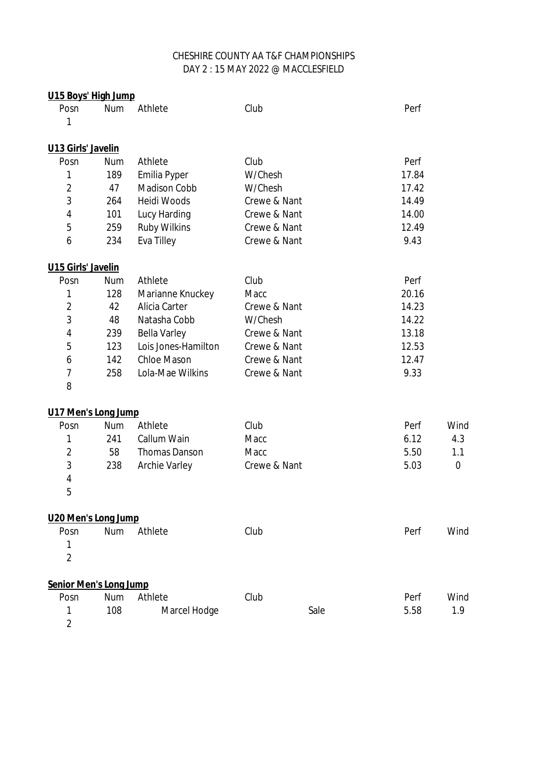| U15 Boys' High Jump           |            |                      |              |      |       |          |
|-------------------------------|------------|----------------------|--------------|------|-------|----------|
| Posn                          | <b>Num</b> | Athlete              | Club         |      | Perf  |          |
| 1                             |            |                      |              |      |       |          |
| U13 Girls' Javelin            |            |                      |              |      |       |          |
| Posn                          | <b>Num</b> | Athlete              | Club         |      | Perf  |          |
| 1                             | 189        | <b>Emilia Pyper</b>  | W/Chesh      |      | 17.84 |          |
| $\overline{2}$                | 47         | <b>Madison Cobb</b>  | W/Chesh      |      | 17.42 |          |
| 3                             | 264        | Heidi Woods          | Crewe & Nant |      | 14.49 |          |
| 4                             | 101        | Lucy Harding         | Crewe & Nant |      | 14.00 |          |
| 5                             | 259        | <b>Ruby Wilkins</b>  | Crewe & Nant |      | 12.49 |          |
| 6                             | 234        | <b>Eva Tilley</b>    | Crewe & Nant |      | 9.43  |          |
| <b>U15 Girls' Javelin</b>     |            |                      |              |      |       |          |
| Posn                          | <b>Num</b> | Athlete              | Club         |      | Perf  |          |
| 1                             | 128        | Marianne Knuckey     | Macc         |      | 20.16 |          |
| $\overline{2}$                | 42         | Alicia Carter        | Crewe & Nant |      | 14.23 |          |
| 3                             | 48         | Natasha Cobb         | W/Chesh      |      | 14.22 |          |
| 4                             | 239        | <b>Bella Varley</b>  | Crewe & Nant |      | 13.18 |          |
| 5                             | 123        | Lois Jones-Hamilton  | Crewe & Nant |      | 12.53 |          |
| 6                             | 142        | <b>Chloe Mason</b>   | Crewe & Nant |      | 12.47 |          |
| $\overline{\mathcal{I}}$      | 258        | Lola-Mae Wilkins     | Crewe & Nant |      | 9.33  |          |
| 8                             |            |                      |              |      |       |          |
| U17 Men's Long Jump           |            |                      |              |      |       |          |
| Posn                          | <b>Num</b> | Athlete              | Club         |      | Perf  | Wind     |
| 1                             | 241        | Callum Wain          | Macc         |      | 6.12  | 4.3      |
| $\overline{\mathbf{c}}$       | 58         | <b>Thomas Danson</b> | Macc         |      | 5.50  | 1.1      |
| 3                             | 238        | <b>Archie Varley</b> | Crewe & Nant |      | 5.03  | $\bf{0}$ |
| 4                             |            |                      |              |      |       |          |
| 5                             |            |                      |              |      |       |          |
| U20 Men's Long Jump           |            |                      |              |      |       |          |
| Posn                          | <b>Num</b> | Athlete              | Club         |      | Perf  | Wind     |
| 1                             |            |                      |              |      |       |          |
| $\overline{2}$                |            |                      |              |      |       |          |
| <b>Senior Men's Long Jump</b> |            |                      |              |      |       |          |
| Posn                          | <b>Num</b> | Athlete              | Club         |      | Perf  | Wind     |
| 1                             | 108        | <b>Marcel Hodge</b>  |              | Sale | 5.58  | 1.9      |
| $\overline{2}$                |            |                      |              |      |       |          |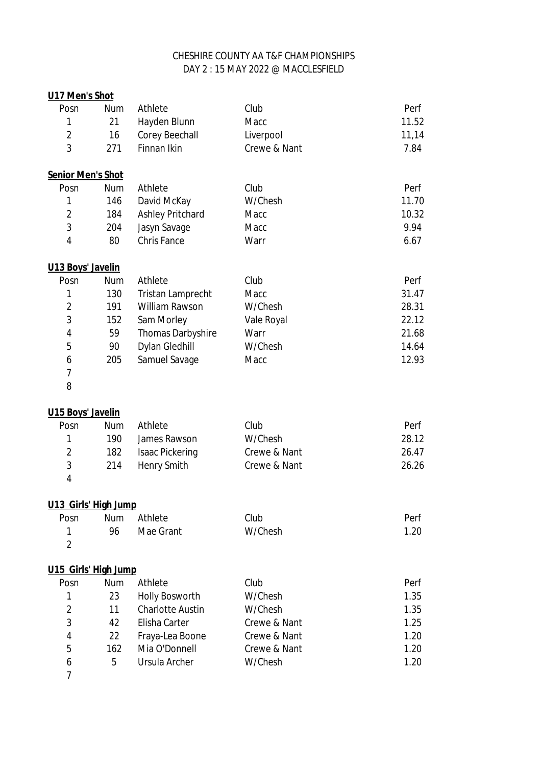| U17 Men's Shot           |            |                          |              |       |
|--------------------------|------------|--------------------------|--------------|-------|
| Posn                     | <b>Num</b> | Athlete                  | Club         | Perf  |
| 1                        | 21         | Hayden Blunn             | Macc         | 11.52 |
| $\overline{2}$           | 16         | <b>Corey Beechall</b>    | Liverpool    | 11,14 |
| 3                        | 271        | <b>Finnan Ikin</b>       | Crewe & Nant | 7.84  |
| <b>Senior Men's Shot</b> |            |                          |              |       |
| Posn                     | <b>Num</b> | Athlete                  | Club         | Perf  |
| 1                        | 146        | David McKay              | W/Chesh      | 11.70 |
| $\overline{2}$           | 184        | <b>Ashley Pritchard</b>  | Macc         | 10.32 |
| 3                        | 204        | Jasyn Savage             | Macc         | 9.94  |
| 4                        | 80         | <b>Chris Fance</b>       | Warr         | 6.67  |
| U13 Boys' Javelin        |            |                          |              |       |
| Posn                     | <b>Num</b> | Athlete                  | Club         | Perf  |
| 1                        | 130        | <b>Tristan Lamprecht</b> | Macc         | 31.47 |
| $\overline{2}$           | 191        | <b>William Rawson</b>    | W/Chesh      | 28.31 |
| 3                        | 152        | Sam Morley               | Vale Royal   | 22.12 |
| 4                        | 59         | <b>Thomas Darbyshire</b> | Warr         | 21.68 |
| 5                        | 90         | <b>Dylan Gledhill</b>    | W/Chesh      | 14.64 |
| 6                        | 205        | Samuel Savage            | Macc         | 12.93 |
| 7                        |            |                          |              |       |
| 8                        |            |                          |              |       |
| U15 Boys' Javelin        |            |                          |              |       |
| Posn                     | Num        | Athlete                  | Club         | Perf  |
| 1                        | 190        | James Rawson             | W/Chesh      | 28.12 |
| $\overline{2}$           | 182        | <b>Isaac Pickering</b>   | Crewe & Nant | 26.47 |
| 3                        | 214        | <b>Henry Smith</b>       | Crewe & Nant | 26.26 |
| 4                        |            |                          |              |       |
| U13 Girls' High Jump     |            |                          |              |       |
| Posn                     | <b>Num</b> | Athlete                  | Club         | Perf  |
| 1                        | 96         | Mae Grant                | W/Chesh      | 1.20  |
| $\overline{2}$           |            |                          |              |       |
| U15 Girls' High Jump     |            |                          |              |       |
| Posn                     | <b>Num</b> | Athlete                  | Club         | Perf  |
| 1                        | 23         | <b>Holly Bosworth</b>    | W/Chesh      | 1.35  |
| $\overline{2}$           | 11         | <b>Charlotte Austin</b>  | W/Chesh      | 1.35  |
| 3                        | 42         | Elisha Carter            | Crewe & Nant | 1.25  |
| 4                        | 22         | Fraya-Lea Boone          | Crewe & Nant | 1.20  |
| 5                        | 162        | Mia O'Donnell            | Crewe & Nant | 1.20  |
| 6                        | 5          | <b>Ursula Archer</b>     | W/Chesh      | 1.20  |
| 7                        |            |                          |              |       |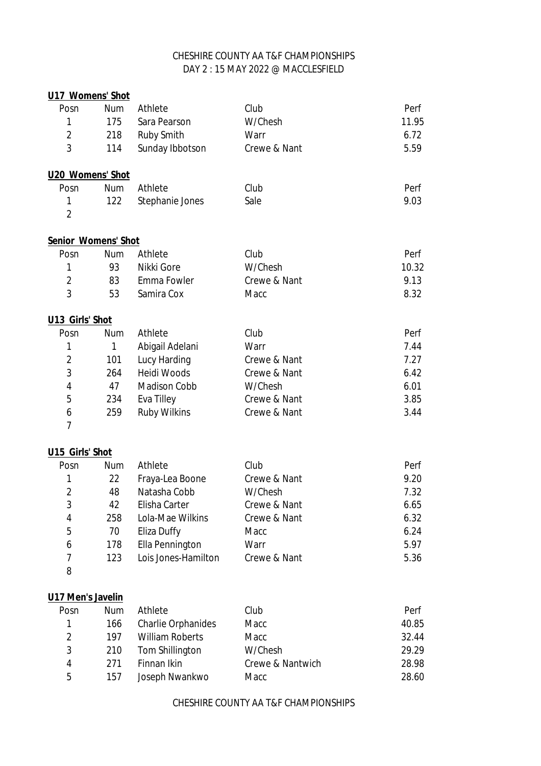# DAY 2 : 15 MAY 2022 @ MACCLESFIELD CHESHIRE COUNTY AA T&F CHAMPIONSHIPS

| U17 Womens' Shot           |            |                           |                  |       |
|----------------------------|------------|---------------------------|------------------|-------|
| Posn                       | <b>Num</b> | Athlete                   | Club             | Perf  |
| 1                          | 175        | Sara Pearson              | W/Chesh          | 11.95 |
| $\overline{2}$             | 218        | <b>Ruby Smith</b>         | Warr             | 6.72  |
| 3                          | 114        | Sunday Ibbotson           | Crewe & Nant     | 5.59  |
| U20 Womens' Shot           |            |                           |                  |       |
| Posn                       | <b>Num</b> | Athlete                   | Club             | Perf  |
| 1                          | 122        | Stephanie Jones           | Sale             | 9.03  |
| $\overline{2}$             |            |                           |                  |       |
| <b>Senior Womens' Shot</b> |            |                           |                  |       |
| Posn                       | Num        | Athlete                   | Club             | Perf  |
| 1                          | 93         | Nikki Gore                | W/Chesh          | 10.32 |
| $\overline{2}$             | 83         | Emma Fowler               | Crewe & Nant     | 9.13  |
| 3                          | 53         | Samira Cox                | Macc             | 8.32  |
| U13 Girls' Shot            |            |                           |                  |       |
| Posn                       | <b>Num</b> | Athlete                   | Club             | Perf  |
| 1                          | 1          | Abigail Adelani           | Warr             | 7.44  |
| $\overline{2}$             | 101        | <b>Lucy Harding</b>       | Crewe & Nant     | 7.27  |
| 3                          | 264        | <b>Heidi Woods</b>        | Crewe & Nant     | 6.42  |
| 4                          | 47         | <b>Madison Cobb</b>       | W/Chesh          | 6.01  |
| 5                          | 234        | Eva Tilley                | Crewe & Nant     | 3.85  |
| 6                          | 259        | <b>Ruby Wilkins</b>       | Crewe & Nant     | 3.44  |
| $\overline{7}$             |            |                           |                  |       |
| U15 Girls' Shot            |            |                           |                  |       |
| Posn                       | <b>Num</b> | Athlete                   | Club             | Perf  |
| 1                          | 22         | Fraya-Lea Boone           | Crewe & Nant     | 9.20  |
| $\overline{2}$             | 48         | Natasha Cobb              | W/Chesh          | 7.32  |
| 3                          | 42         | Elisha Carter             | Crewe & Nant     | 6.65  |
| 4                          | 258        | Lola-Mae Wilkins          | Crewe & Nant     | 6.32  |
| 5                          | 70         | <b>Eliza Duffy</b>        | Macc             | 6.24  |
| 6                          | 178        | <b>Ella Pennington</b>    | Warr             | 5.97  |
| $\overline{7}$             | 123        | Lois Jones-Hamilton       | Crewe & Nant     | 5.36  |
| 8                          |            |                           |                  |       |
| U17 Men's Javelin          |            |                           |                  |       |
| Posn                       | <b>Num</b> | Athlete                   | Club             | Perf  |
| 1                          | 166        | <b>Charlie Orphanides</b> | Macc             | 40.85 |
| $\overline{2}$             | 197        | <b>William Roberts</b>    | Macc             | 32.44 |
| 3                          | 210        | Tom Shillington           | W/Chesh          | 29.29 |
| 4                          | 271        | Finnan Ikin               | Crewe & Nantwich | 28.98 |
| 5                          | 157        | Joseph Nwankwo            | Macc             | 28.60 |
|                            |            |                           |                  |       |

CHESHIRE COUNTY AA T&F CHAMPIONSHIPS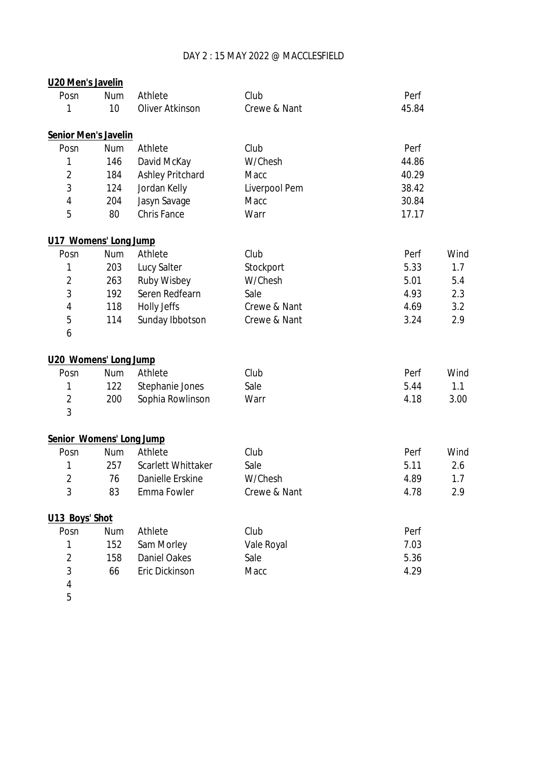### DAY 2 : 15 MAY 2022 @ MACCLESFIELD

| U20 Men's Javelin           |            |                           |               |       |      |
|-----------------------------|------------|---------------------------|---------------|-------|------|
| Posn                        | <b>Num</b> | Athlete                   | Club          | Perf  |      |
| 1                           | 10         | <b>Oliver Atkinson</b>    | Crewe & Nant  | 45.84 |      |
| <b>Senior Men's Javelin</b> |            |                           |               |       |      |
| Posn                        | <b>Num</b> | Athlete                   | Club          | Perf  |      |
| 1                           | 146        | David McKay               | W/Chesh       | 44.86 |      |
| $\overline{2}$              | 184        | <b>Ashley Pritchard</b>   | Macc          | 40.29 |      |
| 3                           | 124        | Jordan Kelly              | Liverpool Pem | 38.42 |      |
| 4                           | 204        | Jasyn Savage              | Macc          | 30.84 |      |
| 5                           | 80         | <b>Chris Fance</b>        | Warr          | 17.17 |      |
| U17 Womens' Long Jump       |            |                           |               |       |      |
| Posn                        | <b>Num</b> | Athlete                   | Club          | Perf  | Wind |
| 1                           | 203        | <b>Lucy Salter</b>        | Stockport     | 5.33  | 1.7  |
| $\overline{2}$              | 263        | <b>Ruby Wisbey</b>        | W/Chesh       | 5.01  | 5.4  |
| 3                           | 192        | Seren Redfearn            | Sale          | 4.93  | 2.3  |
| 4                           | 118        | <b>Holly Jeffs</b>        | Crewe & Nant  | 4.69  | 3.2  |
| 5                           | 114        | Sunday Ibbotson           | Crewe & Nant  | 3.24  | 2.9  |
| 6                           |            |                           |               |       |      |
| U20 Womens' Long Jump       |            |                           |               |       |      |
| Posn                        | <b>Num</b> | Athlete                   | Club          | Perf  | Wind |
| 1                           | 122        | Stephanie Jones           | Sale          | 5.44  | 1.1  |
| $\overline{2}$              | 200        | Sophia Rowlinson          | Warr          | 4.18  | 3.00 |
| 3                           |            |                           |               |       |      |
| Senior Womens' Long Jump    |            |                           |               |       |      |
| Posn                        | <b>Num</b> | Athlete                   | Club          | Perf  | Wind |
| 1                           | 257        | <b>Scarlett Whittaker</b> | Sale          | 5.11  | 2.6  |
| $\mathfrak{p}$              | 76         | Danielle Erskine          | W/Chesh       | 4.89  | 1.7  |
| 3                           | 83         | Emma Fowler               | Crewe & Nant  | 4.78  | 2.9  |
| U13 Boys' Shot              |            |                           |               |       |      |
| Posn                        | Num        | Athlete                   | Club          | Perf  |      |
| 1                           | 152        | Sam Morley                | Vale Royal    | 7.03  |      |
| $\overline{2}$              | 158        | <b>Daniel Oakes</b>       | Sale          | 5.36  |      |
| 3                           | 66         | Eric Dickinson            | Macc          | 4.29  |      |
| 4                           |            |                           |               |       |      |